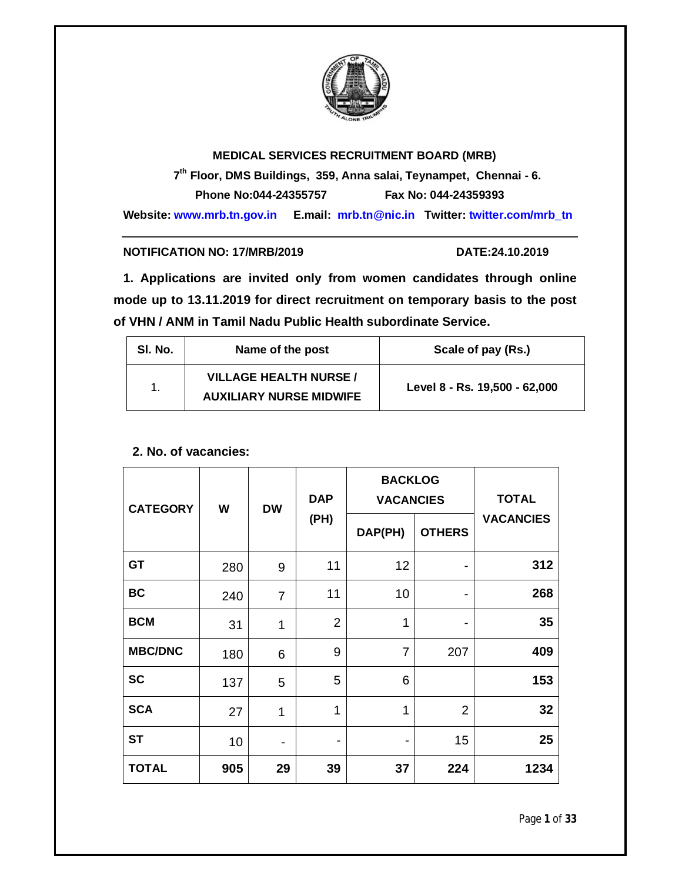

# **MEDICAL SERVICES RECRUITMENT BOARD (MRB)**

 **7 th Floor, DMS Buildings, 359, Anna salai, Teynampet, Chennai - 6. Phone No:044-24355757 Fax No: 044-24359393**

**Website: www.mrb.tn.gov.in E.mail: mrb.tn@nic.in Twitter: twitter.com/mrb\_tn**

#### **NOTIFICATION NO: 17/MRB/2019 DATE:24.10.2019**

**1. Applications are invited only from women candidates through online mode up to 13.11.2019 for direct recruitment on temporary basis to the post of VHN / ANM in Tamil Nadu Public Health subordinate Service.**

|  | SI. No.<br>Name of the post |                                                                 | Scale of pay (Rs.)            |  |
|--|-----------------------------|-----------------------------------------------------------------|-------------------------------|--|
|  |                             | <b>VILLAGE HEALTH NURSE /</b><br><b>AUXILIARY NURSE MIDWIFE</b> | Level 8 - Rs. 19,500 - 62,000 |  |

#### **2. No. of vacancies:**

| <b>CATEGORY</b> | W   | <b>DW</b>      | <b>DAP</b><br>(PH) | <b>BACKLOG</b><br><b>VACANCIES</b> |                | <b>TOTAL</b>     |
|-----------------|-----|----------------|--------------------|------------------------------------|----------------|------------------|
|                 |     |                |                    | DAP(PH)                            | <b>OTHERS</b>  | <b>VACANCIES</b> |
| <b>GT</b>       | 280 | 9              | 11                 | 12                                 | $\blacksquare$ | 312              |
| <b>BC</b>       | 240 | $\overline{7}$ | 11                 | 10                                 | -              | 268              |
| <b>BCM</b>      | 31  | 1              | $\overline{2}$     | 1                                  | ۰              | 35               |
| <b>MBC/DNC</b>  | 180 | 6              | 9                  | $\overline{7}$                     | 207            | 409              |
| <b>SC</b>       | 137 | 5              | 5                  | 6                                  |                | 153              |
| <b>SCA</b>      | 27  | 1              | 1                  | 1                                  | $\overline{2}$ | 32               |
| <b>ST</b>       | 10  | ۰              | ۰                  | ٠                                  | 15             | 25               |
| <b>TOTAL</b>    | 905 | 29             | 39                 | 37                                 | 224            | 1234             |

Page **1** of **33**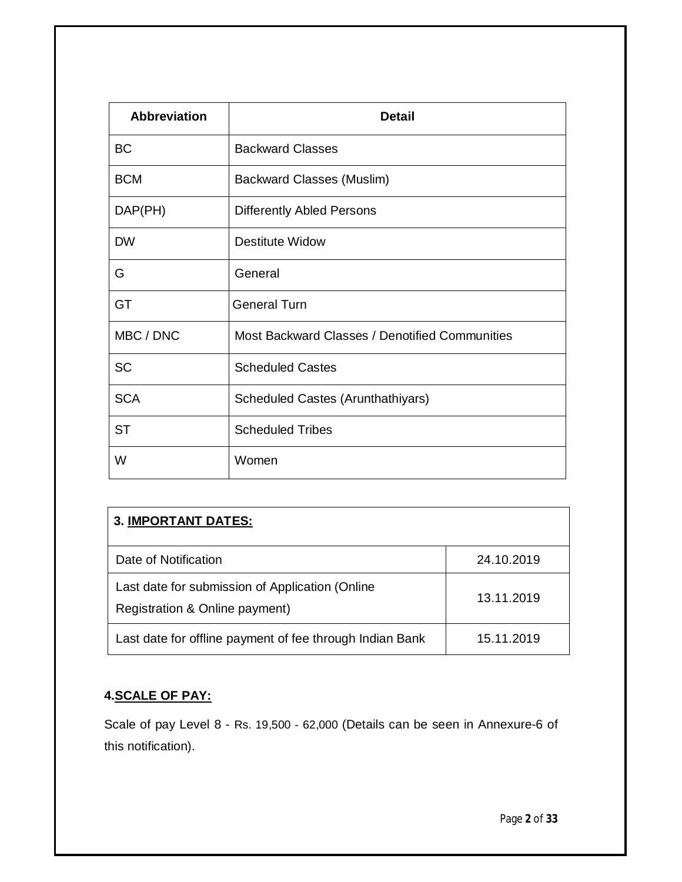| <b>Abbreviation</b> | <b>Detail</b>                                  |
|---------------------|------------------------------------------------|
| <b>BC</b>           | <b>Backward Classes</b>                        |
| <b>BCM</b>          | <b>Backward Classes (Muslim)</b>               |
| DAP(PH)             | <b>Differently Abled Persons</b>               |
| <b>DW</b>           | <b>Destitute Widow</b>                         |
| G                   | General                                        |
| GT                  | <b>General Turn</b>                            |
| MBC / DNC           | Most Backward Classes / Denotified Communities |
| <b>SC</b>           | <b>Scheduled Castes</b>                        |
| <b>SCA</b>          | Scheduled Castes (Arunthathiyars)              |
| <b>ST</b>           | <b>Scheduled Tribes</b>                        |
| W                   | Women                                          |

| <b>3. IMPORTANT DATES:</b>                                                        |            |  |  |  |
|-----------------------------------------------------------------------------------|------------|--|--|--|
| Date of Notification                                                              | 24.10.2019 |  |  |  |
| Last date for submission of Application (Online<br>Registration & Online payment) | 13.11.2019 |  |  |  |
| Last date for offline payment of fee through Indian Bank                          | 15.11.2019 |  |  |  |

# **4.SCALE OF PAY:**

Scale of pay Level 8 - Rs. 19,500 - 62,000 (Details can be seen in Annexure-6 of this notification).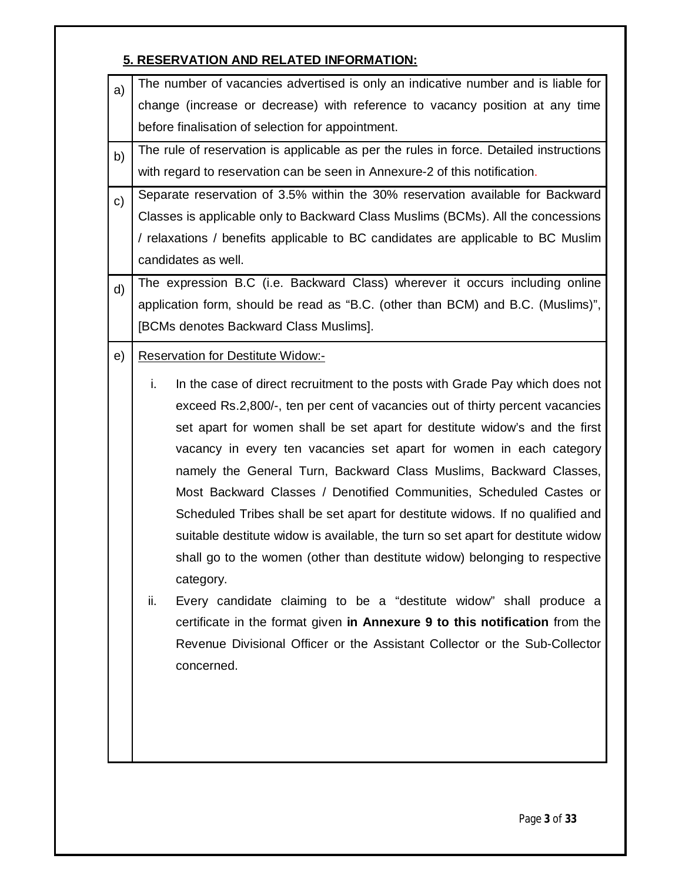# **5. RESERVATION AND RELATED INFORMATION:**

| The number of vacancies advertised is only an indicative number and is liable for      |  |  |  |  |
|----------------------------------------------------------------------------------------|--|--|--|--|
| change (increase or decrease) with reference to vacancy position at any time           |  |  |  |  |
| before finalisation of selection for appointment.                                      |  |  |  |  |
| The rule of reservation is applicable as per the rules in force. Detailed instructions |  |  |  |  |
| with regard to reservation can be seen in Annexure-2 of this notification.             |  |  |  |  |
| Separate reservation of 3.5% within the 30% reservation available for Backward         |  |  |  |  |
| Classes is applicable only to Backward Class Muslims (BCMs). All the concessions       |  |  |  |  |
| / relaxations / benefits applicable to BC candidates are applicable to BC Muslim       |  |  |  |  |
| candidates as well.                                                                    |  |  |  |  |
| The expression B.C (i.e. Backward Class) wherever it occurs including online           |  |  |  |  |
| application form, should be read as "B.C. (other than BCM) and B.C. (Muslims)",        |  |  |  |  |
| [BCMs denotes Backward Class Muslims].                                                 |  |  |  |  |
| <b>Reservation for Destitute Widow:-</b>                                               |  |  |  |  |
| i.<br>In the case of direct recruitment to the posts with Grade Pay which does not     |  |  |  |  |
| exceed Rs.2,800/-, ten per cent of vacancies out of thirty percent vacancies           |  |  |  |  |
| set apart for women shall be set apart for destitute widow's and the first             |  |  |  |  |
| vacancy in every ten vacancies set apart for women in each category                    |  |  |  |  |
|                                                                                        |  |  |  |  |
| namely the General Turn, Backward Class Muslims, Backward Classes,                     |  |  |  |  |
| Most Backward Classes / Denotified Communities, Scheduled Castes or                    |  |  |  |  |
| Scheduled Tribes shall be set apart for destitute widows. If no qualified and          |  |  |  |  |
| suitable destitute widow is available, the turn so set apart for destitute widow       |  |  |  |  |
| shall go to the women (other than destitute widow) belonging to respective             |  |  |  |  |
| category.                                                                              |  |  |  |  |
| Every candidate claiming to be a "destitute widow" shall produce a<br>ii.              |  |  |  |  |
| certificate in the format given in Annexure 9 to this notification from the            |  |  |  |  |
| Revenue Divisional Officer or the Assistant Collector or the Sub-Collector             |  |  |  |  |
| concerned.                                                                             |  |  |  |  |
|                                                                                        |  |  |  |  |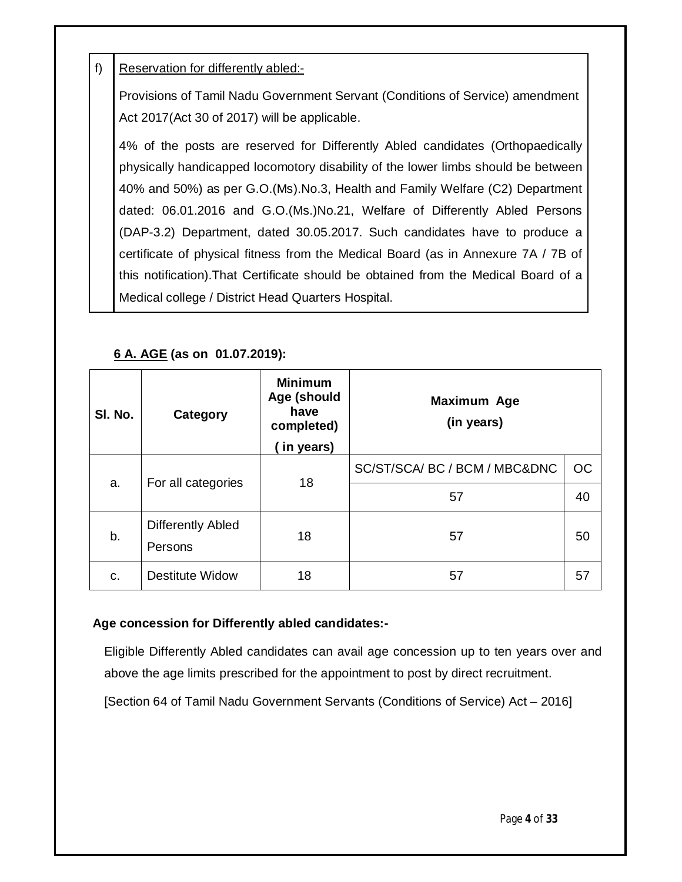# f) | Reservation for differently abled:-

Provisions of Tamil Nadu Government Servant (Conditions of Service) amendment Act 2017(Act 30 of 2017) will be applicable.

4% of the posts are reserved for Differently Abled candidates (Orthopaedically physically handicapped locomotory disability of the lower limbs should be between 40% and 50%) as per G.O.(Ms).No.3, Health and Family Welfare (C2) Department dated: 06.01.2016 and G.O.(Ms.)No.21, Welfare of Differently Abled Persons (DAP-3.2) Department, dated 30.05.2017. Such candidates have to produce a certificate of physical fitness from the Medical Board (as in Annexure 7A / 7B of this notification).That Certificate should be obtained from the Medical Board of a Medical college / District Head Quarters Hospital.

# **6 A. AGE (as on 01.07.2019):**

| SI. No. | Category                            | <b>Minimum</b><br>Age (should<br>have<br>completed)<br>in years) | <b>Maximum Age</b><br>(in years) |           |  |
|---------|-------------------------------------|------------------------------------------------------------------|----------------------------------|-----------|--|
| a.      | For all categories                  | 18                                                               | SC/ST/SCA/ BC / BCM / MBC&DNC    | <b>OC</b> |  |
|         |                                     |                                                                  | 57                               | 40        |  |
| b.      | <b>Differently Abled</b><br>Persons | 18                                                               | 57                               | 50        |  |
| C.      | <b>Destitute Widow</b>              | 18                                                               | 57                               | 57        |  |

# **Age concession for Differently abled candidates:-**

Eligible Differently Abled candidates can avail age concession up to ten years over and above the age limits prescribed for the appointment to post by direct recruitment.

[Section 64 of Tamil Nadu Government Servants (Conditions of Service) Act – 2016]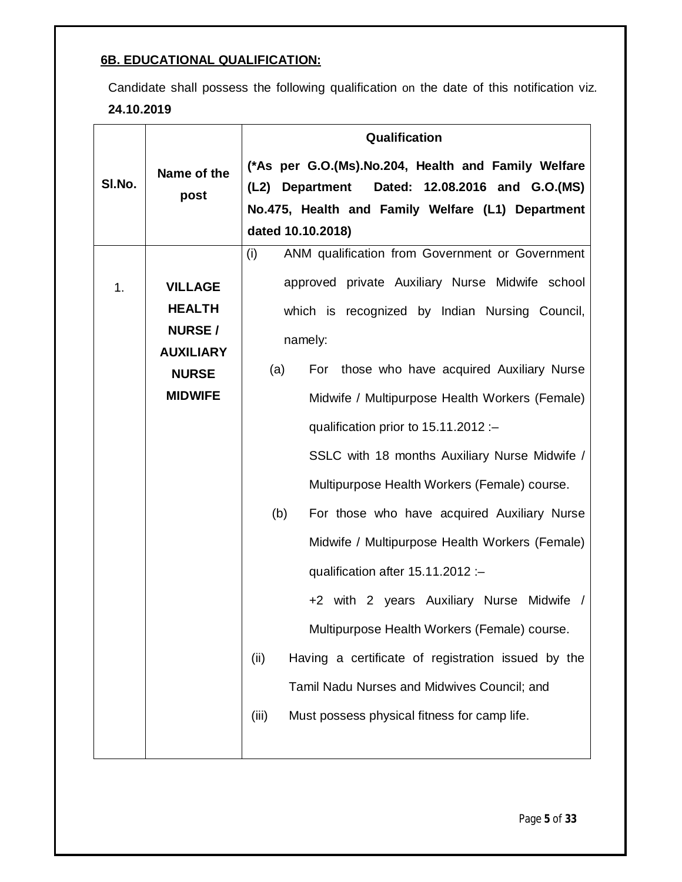# **6B. EDUCATIONAL QUALIFICATION:**

Candidate shall possess the following qualification on the date of this notification viz*.*  **24.10.2019**

| (*As per G.O.(Ms).No.204, Health and Family Welfare<br>Name of the<br>SI.No.<br>(L2) Department<br>Dated: 12.08.2016 and G.O.(MS)<br>post<br>No.475, Health and Family Welfare (L1) Department<br>dated 10.10.2018)<br>(i)<br>ANM qualification from Government or Government<br>approved private Auxiliary Nurse Midwife school<br><b>VILLAGE</b><br>1.<br><b>HEALTH</b><br>which is recognized by Indian Nursing Council,<br><b>NURSE/</b><br>namely:<br><b>AUXILIARY</b> |
|-----------------------------------------------------------------------------------------------------------------------------------------------------------------------------------------------------------------------------------------------------------------------------------------------------------------------------------------------------------------------------------------------------------------------------------------------------------------------------|
|                                                                                                                                                                                                                                                                                                                                                                                                                                                                             |
|                                                                                                                                                                                                                                                                                                                                                                                                                                                                             |
|                                                                                                                                                                                                                                                                                                                                                                                                                                                                             |
|                                                                                                                                                                                                                                                                                                                                                                                                                                                                             |
|                                                                                                                                                                                                                                                                                                                                                                                                                                                                             |
|                                                                                                                                                                                                                                                                                                                                                                                                                                                                             |
|                                                                                                                                                                                                                                                                                                                                                                                                                                                                             |
|                                                                                                                                                                                                                                                                                                                                                                                                                                                                             |
| For those who have acquired Auxiliary Nurse                                                                                                                                                                                                                                                                                                                                                                                                                                 |
| (a)<br><b>NURSE</b>                                                                                                                                                                                                                                                                                                                                                                                                                                                         |
| <b>MIDWIFE</b><br>Midwife / Multipurpose Health Workers (Female)                                                                                                                                                                                                                                                                                                                                                                                                            |
| qualification prior to 15.11.2012 :-                                                                                                                                                                                                                                                                                                                                                                                                                                        |
| SSLC with 18 months Auxiliary Nurse Midwife /                                                                                                                                                                                                                                                                                                                                                                                                                               |
| Multipurpose Health Workers (Female) course.                                                                                                                                                                                                                                                                                                                                                                                                                                |
| (b)<br>For those who have acquired Auxiliary Nurse                                                                                                                                                                                                                                                                                                                                                                                                                          |
| Midwife / Multipurpose Health Workers (Female)                                                                                                                                                                                                                                                                                                                                                                                                                              |
| qualification after 15.11.2012 :-                                                                                                                                                                                                                                                                                                                                                                                                                                           |
| +2 with 2 years Auxiliary Nurse Midwife                                                                                                                                                                                                                                                                                                                                                                                                                                     |
| Multipurpose Health Workers (Female) course.                                                                                                                                                                                                                                                                                                                                                                                                                                |
| Having a certificate of registration issued by the<br>(ii)                                                                                                                                                                                                                                                                                                                                                                                                                  |
| Tamil Nadu Nurses and Midwives Council; and                                                                                                                                                                                                                                                                                                                                                                                                                                 |
| Must possess physical fitness for camp life.<br>(iii)                                                                                                                                                                                                                                                                                                                                                                                                                       |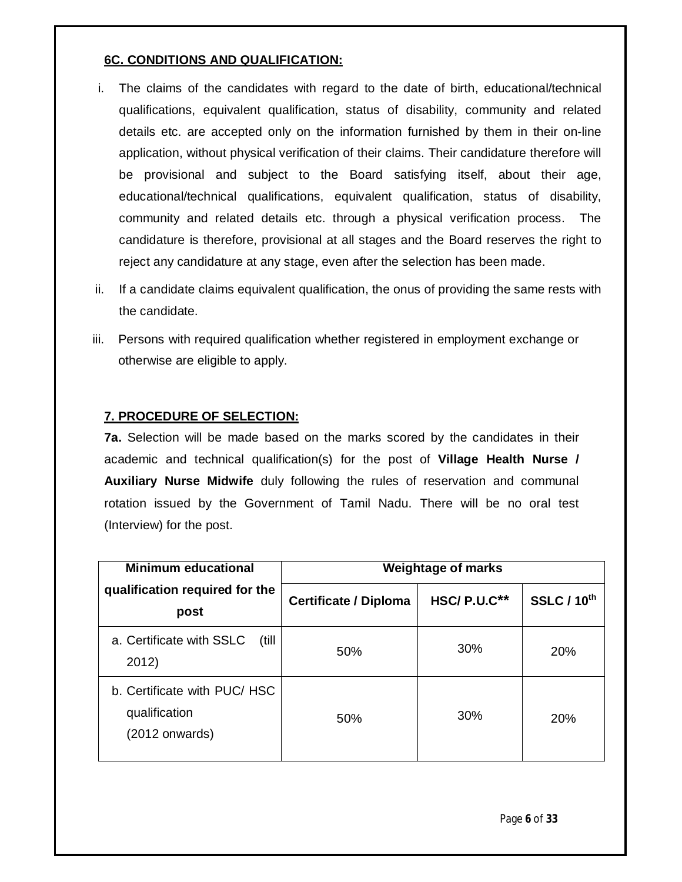# **6C. CONDITIONS AND QUALIFICATION:**

- i. The claims of the candidates with regard to the date of birth, educational/technical qualifications, equivalent qualification, status of disability, community and related details etc. are accepted only on the information furnished by them in their on-line application, without physical verification of their claims. Their candidature therefore will be provisional and subject to the Board satisfying itself, about their age, educational/technical qualifications, equivalent qualification, status of disability, community and related details etc. through a physical verification process. The candidature is therefore, provisional at all stages and the Board reserves the right to reject any candidature at any stage, even after the selection has been made.
- ii. If a candidate claims equivalent qualification, the onus of providing the same rests with the candidate.
- iii. Persons with required qualification whether registered in employment exchange or otherwise are eligible to apply.

# **7. PROCEDURE OF SELECTION:**

**7a.** Selection will be made based on the marks scored by the candidates in their academic and technical qualification(s) for the post of **Village Health Nurse / Auxiliary Nurse Midwife** duly following the rules of reservation and communal rotation issued by the Government of Tamil Nadu. There will be no oral test (Interview) for the post.

| <b>Minimum educational</b>                                       | <b>Weightage of marks</b>    |               |                    |  |
|------------------------------------------------------------------|------------------------------|---------------|--------------------|--|
| qualification required for the<br>post                           | <b>Certificate / Diploma</b> | $HSC/P.U.C**$ | <b>SSLC / 10th</b> |  |
| a. Certificate with SSLC<br>(till)<br>2012)                      | 50%                          | 30%           | <b>20%</b>         |  |
| b. Certificate with PUC/HSC<br>qualification<br>$(2012$ onwards) | 50%                          | <b>30%</b>    | 20%                |  |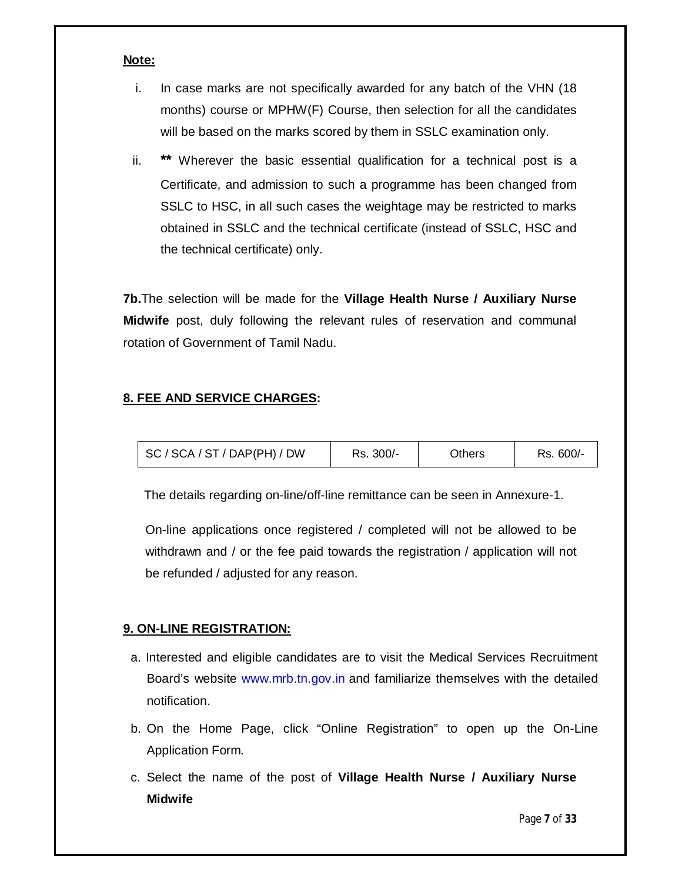#### **Note:**

- i. In case marks are not specifically awarded for any batch of the VHN (18 months) course or MPHW(F) Course, then selection for all the candidates will be based on the marks scored by them in SSLC examination only.
- ii. **\*\*** Wherever the basic essential qualification for a technical post is a Certificate, and admission to such a programme has been changed from SSLC to HSC, in all such cases the weightage may be restricted to marks obtained in SSLC and the technical certificate (instead of SSLC, HSC and the technical certificate) only.

**7b.**The selection will be made for the **Village Health Nurse / Auxiliary Nurse Midwife** post, duly following the relevant rules of reservation and communal rotation of Government of Tamil Nadu.

# **8. FEE AND SERVICE CHARGES:**

| $\mid$ SC / SCA / ST / DAP(PH) / DW | Rs. 300/- | Others | Rs. 600/- |
|-------------------------------------|-----------|--------|-----------|
|-------------------------------------|-----------|--------|-----------|

The details regarding on-line/off-line remittance can be seen in Annexure-1.

On-line applications once registered / completed will not be allowed to be withdrawn and / or the fee paid towards the registration / application will not be refunded / adjusted for any reason.

# **9. ON-LINE REGISTRATION:**

- a. Interested and eligible candidates are to visit the Medical Services Recruitment Board's website www.mrb.tn.gov.in and familiarize themselves with the detailed notification.
- b. On the Home Page, click "Online Registration" to open up the On-Line Application Form.
- c. Select the name of the post of **Village Health Nurse / Auxiliary Nurse Midwife**

Page **7** of **33**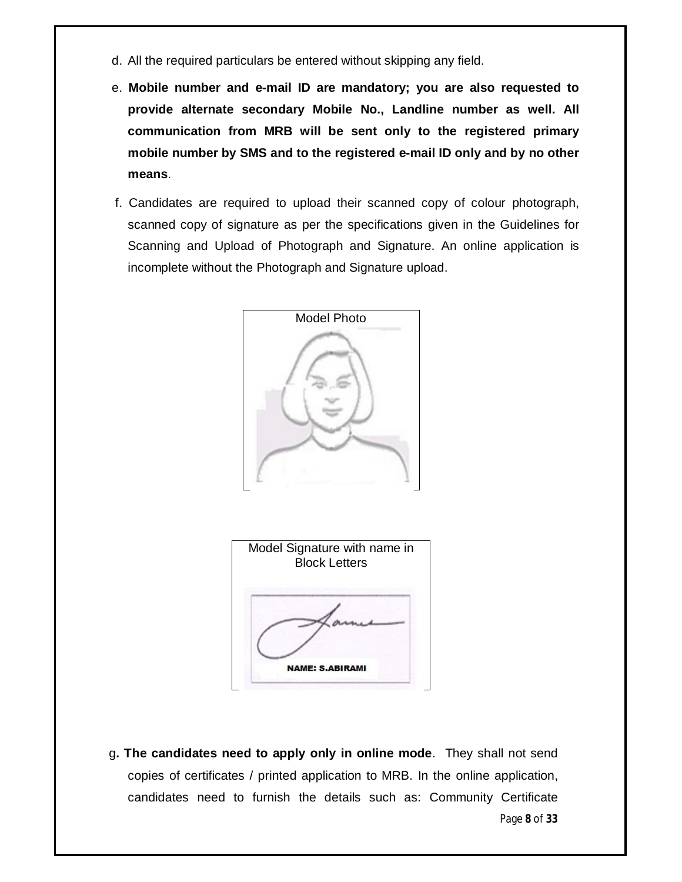- d. All the required particulars be entered without skipping any field.
- e. **Mobile number and e-mail ID are mandatory; you are also requested to provide alternate secondary Mobile No., Landline number as well. All communication from MRB will be sent only to the registered primary mobile number by SMS and to the registered e-mail ID only and by no other means**.
- f. Candidates are required to upload their scanned copy of colour photograph, scanned copy of signature as per the specifications given in the Guidelines for Scanning and Upload of Photograph and Signature. An online application is incomplete without the Photograph and Signature upload.



Page **8** of **33** g**. The candidates need to apply only in online mode**. They shall not send copies of certificates / printed application to MRB. In the online application, candidates need to furnish the details such as: Community Certificate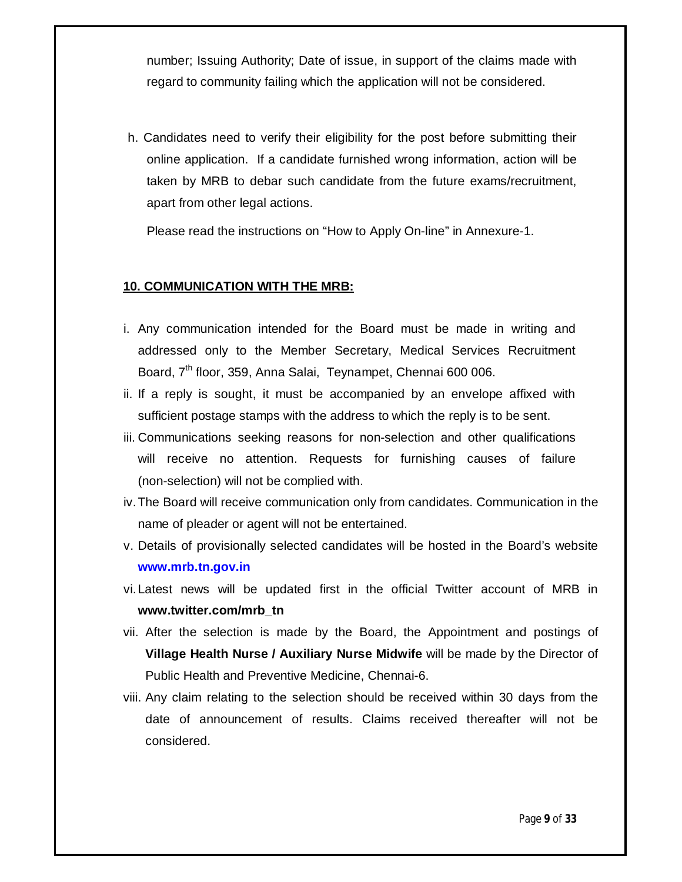number; Issuing Authority; Date of issue, in support of the claims made with regard to community failing which the application will not be considered.

h. Candidates need to verify their eligibility for the post before submitting their online application. If a candidate furnished wrong information, action will be taken by MRB to debar such candidate from the future exams/recruitment, apart from other legal actions.

Please read the instructions on "How to Apply On-line" in Annexure-1.

#### **10. COMMUNICATION WITH THE MRB:**

- i. Any communication intended for the Board must be made in writing and addressed only to the Member Secretary, Medical Services Recruitment Board, 7<sup>th</sup> floor, 359, Anna Salai, Teynampet, Chennai 600 006.
- ii. If a reply is sought, it must be accompanied by an envelope affixed with sufficient postage stamps with the address to which the reply is to be sent.
- iii. Communications seeking reasons for non-selection and other qualifications will receive no attention. Requests for furnishing causes of failure (non-selection) will not be complied with.
- iv.The Board will receive communication only from candidates. Communication in the name of pleader or agent will not be entertained.
- v. Details of provisionally selected candidates will be hosted in the Board's website **www.mrb.tn.gov.in**
- vi.Latest news will be updated first in the official Twitter account of MRB in **www.twitter.com/mrb\_tn**
- vii. After the selection is made by the Board, the Appointment and postings of **Village Health Nurse / Auxiliary Nurse Midwife** will be made by the Director of Public Health and Preventive Medicine, Chennai-6.
- viii. Any claim relating to the selection should be received within 30 days from the date of announcement of results. Claims received thereafter will not be considered.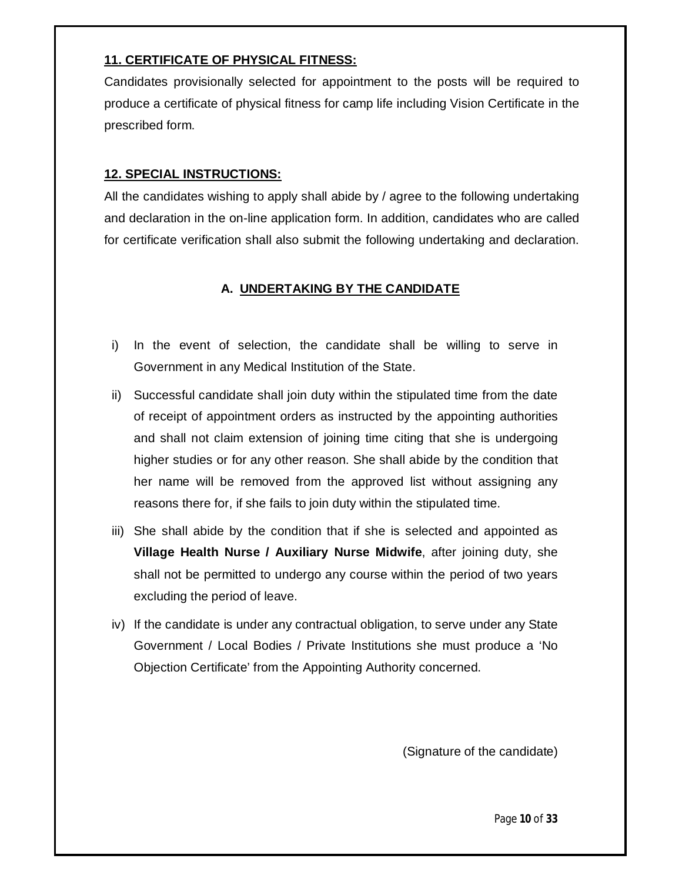# **11. CERTIFICATE OF PHYSICAL FITNESS:**

Candidates provisionally selected for appointment to the posts will be required to produce a certificate of physical fitness for camp life including Vision Certificate in the prescribed form.

# **12. SPECIAL INSTRUCTIONS:**

All the candidates wishing to apply shall abide by / agree to the following undertaking and declaration in the on-line application form. In addition, candidates who are called for certificate verification shall also submit the following undertaking and declaration.

# **A. UNDERTAKING BY THE CANDIDATE**

- i) In the event of selection, the candidate shall be willing to serve in Government in any Medical Institution of the State.
- ii) Successful candidate shall join duty within the stipulated time from the date of receipt of appointment orders as instructed by the appointing authorities and shall not claim extension of joining time citing that she is undergoing higher studies or for any other reason. She shall abide by the condition that her name will be removed from the approved list without assigning any reasons there for, if she fails to join duty within the stipulated time.
- iii) She shall abide by the condition that if she is selected and appointed as **Village Health Nurse / Auxiliary Nurse Midwife**, after joining duty, she shall not be permitted to undergo any course within the period of two years excluding the period of leave.
- iv) If the candidate is under any contractual obligation, to serve under any State Government / Local Bodies / Private Institutions she must produce a 'No Objection Certificate' from the Appointing Authority concerned.

(Signature of the candidate)

Page **10** of **33**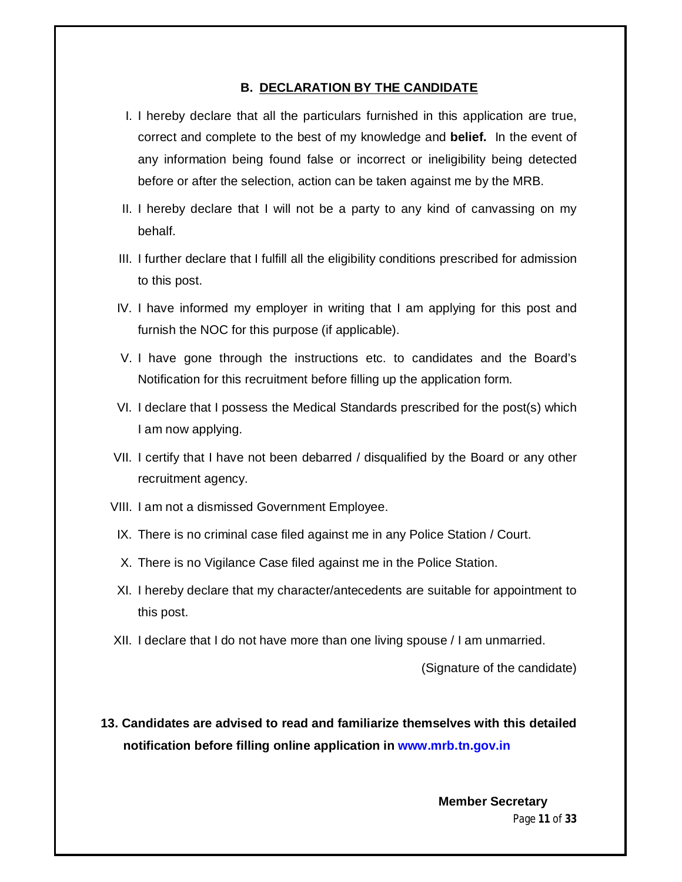#### **B. DECLARATION BY THE CANDIDATE**

- I. I hereby declare that all the particulars furnished in this application are true, correct and complete to the best of my knowledge and **belief.** In the event of any information being found false or incorrect or ineligibility being detected before or after the selection, action can be taken against me by the MRB.
- II. I hereby declare that I will not be a party to any kind of canvassing on my behalf.
- III. I further declare that I fulfill all the eligibility conditions prescribed for admission to this post.
- IV. I have informed my employer in writing that I am applying for this post and furnish the NOC for this purpose (if applicable).
- V. I have gone through the instructions etc. to candidates and the Board's Notification for this recruitment before filling up the application form.
- VI. I declare that I possess the Medical Standards prescribed for the post(s) which I am now applying.
- VII. I certify that I have not been debarred / disqualified by the Board or any other recruitment agency.
- VIII. I am not a dismissed Government Employee.
- IX. There is no criminal case filed against me in any Police Station / Court.
- X. There is no Vigilance Case filed against me in the Police Station.
- XI. I hereby declare that my character/antecedents are suitable for appointment to this post.
- XII. I declare that I do not have more than one living spouse / I am unmarried.

(Signature of the candidate)

**13. Candidates are advised to read and familiarize themselves with this detailed notification before filling online application in www.mrb.tn.gov.in**

> Page **11** of **33 Member Secretary**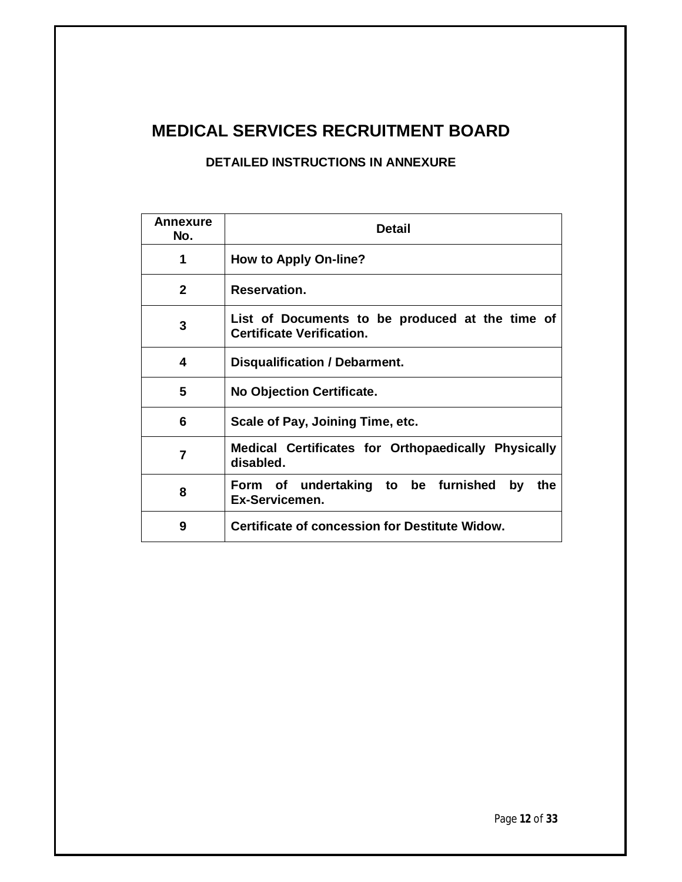# **MEDICAL SERVICES RECRUITMENT BOARD**

# **DETAILED INSTRUCTIONS IN ANNEXURE**

| Annexure<br>No. | <b>Detail</b>                                                                       |  |  |  |  |
|-----------------|-------------------------------------------------------------------------------------|--|--|--|--|
| 1               | <b>How to Apply On-line?</b>                                                        |  |  |  |  |
| $\mathbf{2}$    | Reservation.                                                                        |  |  |  |  |
| 3               | List of Documents to be produced at the time of<br><b>Certificate Verification.</b> |  |  |  |  |
| 4               | Disqualification / Debarment.                                                       |  |  |  |  |
| 5               | <b>No Objection Certificate.</b>                                                    |  |  |  |  |
| 6               | Scale of Pay, Joining Time, etc.                                                    |  |  |  |  |
| 7               | Medical Certificates for Orthopaedically Physically<br>disabled.                    |  |  |  |  |
| 8               | Form of undertaking to be furnished<br>by<br>the<br>Ex-Servicemen.                  |  |  |  |  |
| 9               | Certificate of concession for Destitute Widow.                                      |  |  |  |  |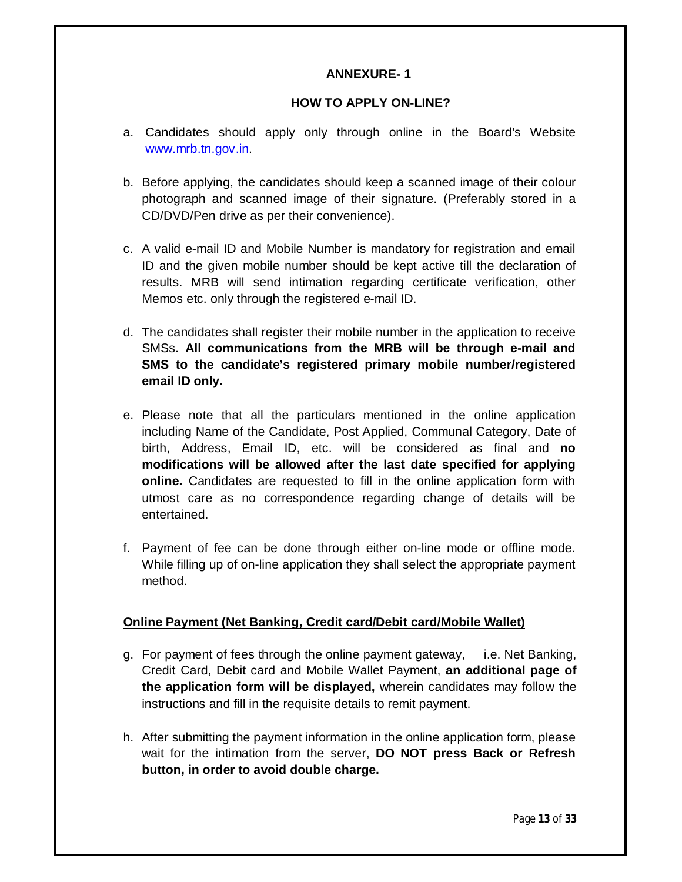### **ANNEXURE- 1**

#### **HOW TO APPLY ON-LINE?**

- a. Candidates should apply only through online in the Board's Website www.mrb.tn.gov.in.
- b. Before applying, the candidates should keep a scanned image of their colour photograph and scanned image of their signature. (Preferably stored in a CD/DVD/Pen drive as per their convenience).
- c. A valid e-mail ID and Mobile Number is mandatory for registration and email ID and the given mobile number should be kept active till the declaration of results. MRB will send intimation regarding certificate verification, other Memos etc. only through the registered e-mail ID.
- d. The candidates shall register their mobile number in the application to receive SMSs. **All communications from the MRB will be through e-mail and SMS to the candidate's registered primary mobile number/registered email ID only.**
- e. Please note that all the particulars mentioned in the online application including Name of the Candidate, Post Applied, Communal Category, Date of birth, Address, Email ID, etc. will be considered as final and **no modifications will be allowed after the last date specified for applying online.** Candidates are requested to fill in the online application form with utmost care as no correspondence regarding change of details will be entertained.
- f. Payment of fee can be done through either on-line mode or offline mode. While filling up of on-line application they shall select the appropriate payment method.

#### **Online Payment (Net Banking, Credit card/Debit card/Mobile Wallet)**

- g. For payment of fees through the online payment gateway, i.e. Net Banking, Credit Card, Debit card and Mobile Wallet Payment, **an additional page of the application form will be displayed,** wherein candidates may follow the instructions and fill in the requisite details to remit payment.
- h. After submitting the payment information in the online application form, please wait for the intimation from the server, **DO NOT press Back or Refresh button, in order to avoid double charge.**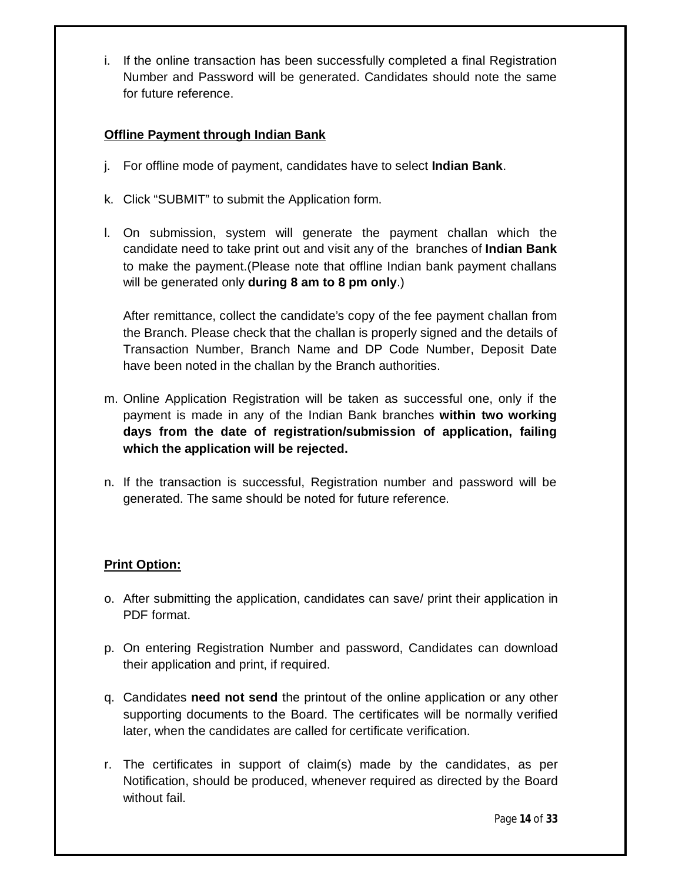i. If the online transaction has been successfully completed a final Registration Number and Password will be generated. Candidates should note the same for future reference.

# **Offline Payment through Indian Bank**

- j. For offline mode of payment, candidates have to select **Indian Bank**.
- k. Click "SUBMIT" to submit the Application form.
- l. On submission, system will generate the payment challan which the candidate need to take print out and visit any of the branches of **Indian Bank** to make the payment.(Please note that offline Indian bank payment challans will be generated only **during 8 am to 8 pm only**.)

After remittance, collect the candidate's copy of the fee payment challan from the Branch. Please check that the challan is properly signed and the details of Transaction Number, Branch Name and DP Code Number, Deposit Date have been noted in the challan by the Branch authorities.

- m. Online Application Registration will be taken as successful one, only if the payment is made in any of the Indian Bank branches **within two working days from the date of registration/submission of application, failing which the application will be rejected.**
- n. If the transaction is successful, Registration number and password will be generated. The same should be noted for future reference.

# **Print Option:**

- o. After submitting the application, candidates can save/ print their application in PDF format.
- p. On entering Registration Number and password, Candidates can download their application and print, if required.
- q. Candidates **need not send** the printout of the online application or any other supporting documents to the Board. The certificates will be normally verified later, when the candidates are called for certificate verification.
- r. The certificates in support of claim(s) made by the candidates, as per Notification, should be produced, whenever required as directed by the Board without fail.

Page **14** of **33**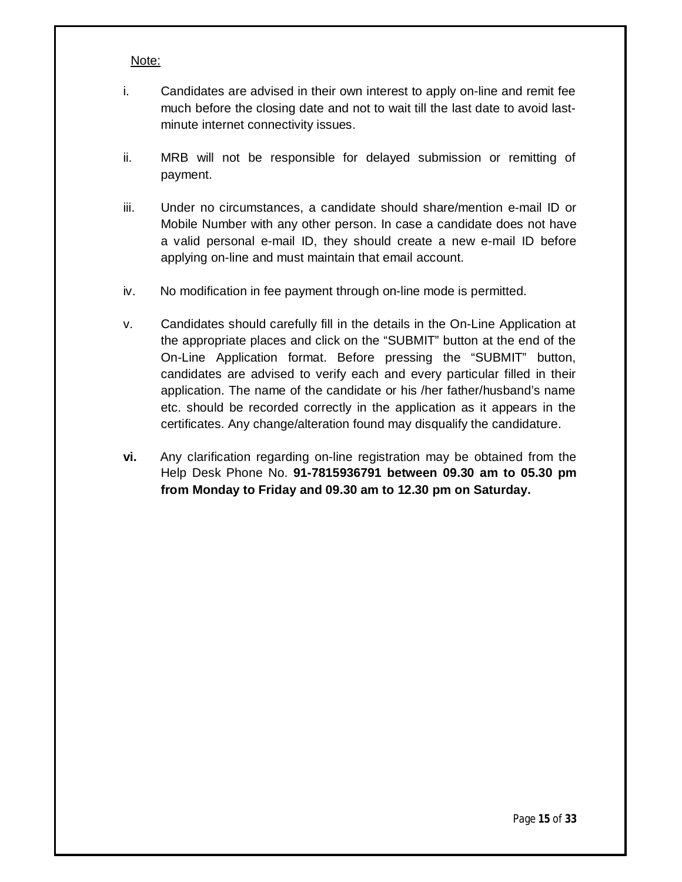#### Note:

- i. Candidates are advised in their own interest to apply on-line and remit fee much before the closing date and not to wait till the last date to avoid lastminute internet connectivity issues.
- ii. MRB will not be responsible for delayed submission or remitting of payment.
- iii. Under no circumstances, a candidate should share/mention e-mail ID or Mobile Number with any other person. In case a candidate does not have a valid personal e-mail ID, they should create a new e-mail ID before applying on-line and must maintain that email account.
- iv. No modification in fee payment through on-line mode is permitted.
- v. Candidates should carefully fill in the details in the On-Line Application at the appropriate places and click on the "SUBMIT" button at the end of the On-Line Application format. Before pressing the "SUBMIT" button, candidates are advised to verify each and every particular filled in their application. The name of the candidate or his /her father/husband's name etc. should be recorded correctly in the application as it appears in the certificates. Any change/alteration found may disqualify the candidature.
- **vi.** Any clarification regarding on-line registration may be obtained from the Help Desk Phone No. **91-7815936791 between 09.30 am to 05.30 pm from Monday to Friday and 09.30 am to 12.30 pm on Saturday.**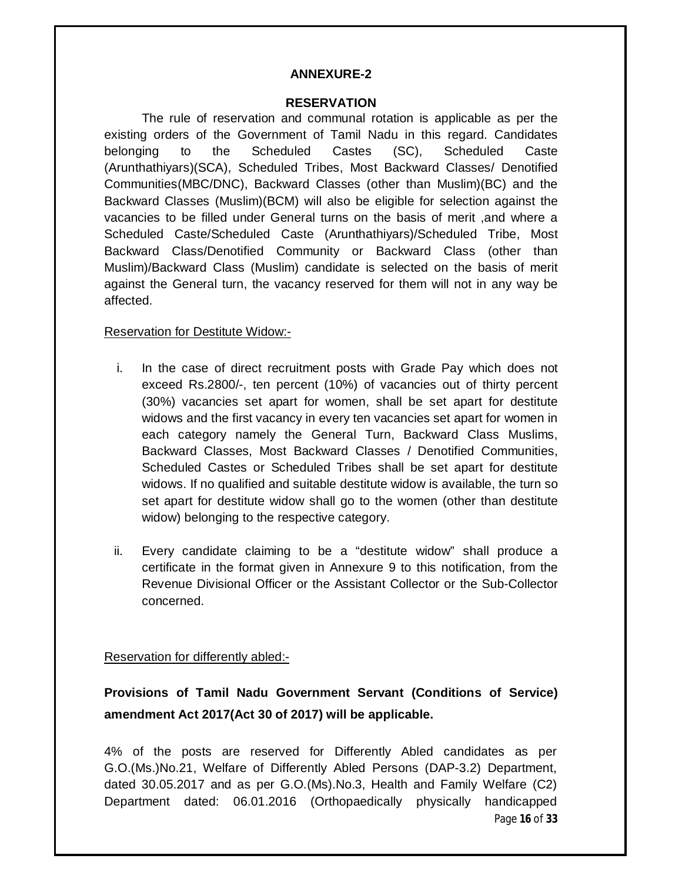#### **ANNEXURE-2**

#### **RESERVATION**

The rule of reservation and communal rotation is applicable as per the existing orders of the Government of Tamil Nadu in this regard. Candidates belonging to the Scheduled Castes (SC), Scheduled Caste (Arunthathiyars)(SCA), Scheduled Tribes, Most Backward Classes/ Denotified Communities(MBC/DNC), Backward Classes (other than Muslim)(BC) and the Backward Classes (Muslim)(BCM) will also be eligible for selection against the vacancies to be filled under General turns on the basis of merit ,and where a Scheduled Caste/Scheduled Caste (Arunthathiyars)/Scheduled Tribe, Most Backward Class/Denotified Community or Backward Class (other than Muslim)/Backward Class (Muslim) candidate is selected on the basis of merit against the General turn, the vacancy reserved for them will not in any way be affected.

#### Reservation for Destitute Widow:-

- i. In the case of direct recruitment posts with Grade Pay which does not exceed Rs.2800/-, ten percent (10%) of vacancies out of thirty percent (30%) vacancies set apart for women, shall be set apart for destitute widows and the first vacancy in every ten vacancies set apart for women in each category namely the General Turn, Backward Class Muslims, Backward Classes, Most Backward Classes / Denotified Communities, Scheduled Castes or Scheduled Tribes shall be set apart for destitute widows. If no qualified and suitable destitute widow is available, the turn so set apart for destitute widow shall go to the women (other than destitute widow) belonging to the respective category.
- ii. Every candidate claiming to be a "destitute widow" shall produce a certificate in the format given in Annexure 9 to this notification, from the Revenue Divisional Officer or the Assistant Collector or the Sub-Collector concerned.

Reservation for differently abled:-

# **Provisions of Tamil Nadu Government Servant (Conditions of Service) amendment Act 2017(Act 30 of 2017) will be applicable.**

Page **16** of **33** 4% of the posts are reserved for Differently Abled candidates as per G.O.(Ms.)No.21, Welfare of Differently Abled Persons (DAP-3.2) Department, dated 30.05.2017 and as per G.O.(Ms).No.3, Health and Family Welfare (C2) Department dated: 06.01.2016 (Orthopaedically physically handicapped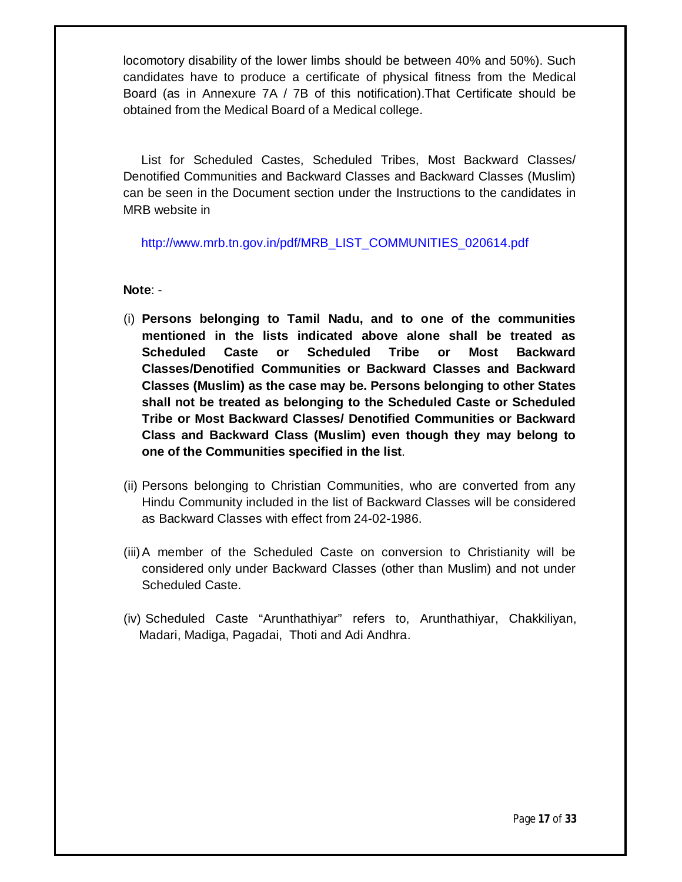locomotory disability of the lower limbs should be between 40% and 50%). Such candidates have to produce a certificate of physical fitness from the Medical Board (as in Annexure 7A / 7B of this notification).That Certificate should be obtained from the Medical Board of a Medical college.

List for Scheduled Castes, Scheduled Tribes, Most Backward Classes/ Denotified Communities and Backward Classes and Backward Classes (Muslim) can be seen in the Document section under the Instructions to the candidates in MRB website in

#### http://www.mrb.tn.gov.in/pdf/MRB\_LIST\_COMMUNITIES\_020614.pdf

#### **Note**: -

- (i) **Persons belonging to Tamil Nadu, and to one of the communities mentioned in the lists indicated above alone shall be treated as Scheduled Caste or Scheduled Tribe or Most Backward Classes/Denotified Communities or Backward Classes and Backward Classes (Muslim) as the case may be. Persons belonging to other States shall not be treated as belonging to the Scheduled Caste or Scheduled Tribe or Most Backward Classes/ Denotified Communities or Backward Class and Backward Class (Muslim) even though they may belong to one of the Communities specified in the list**.
- (ii) Persons belonging to Christian Communities, who are converted from any Hindu Community included in the list of Backward Classes will be considered as Backward Classes with effect from 24-02-1986.
- (iii)A member of the Scheduled Caste on conversion to Christianity will be considered only under Backward Classes (other than Muslim) and not under Scheduled Caste.
- (iv) Scheduled Caste "Arunthathiyar" refers to, Arunthathiyar, Chakkiliyan, Madari, Madiga, Pagadai, Thoti and Adi Andhra.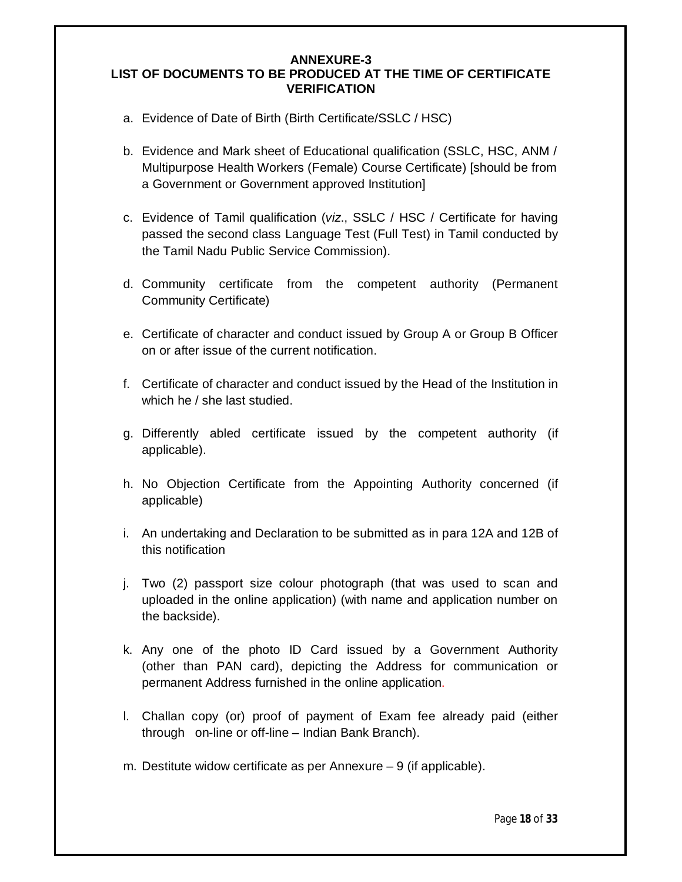#### **ANNEXURE-3 LIST OF DOCUMENTS TO BE PRODUCED AT THE TIME OF CERTIFICATE VERIFICATION**

- a. Evidence of Date of Birth (Birth Certificate/SSLC / HSC)
- b. Evidence and Mark sheet of Educational qualification (SSLC, HSC, ANM / Multipurpose Health Workers (Female) Course Certificate) [should be from a Government or Government approved Institution]
- c. Evidence of Tamil qualification (*viz*., SSLC / HSC / Certificate for having passed the second class Language Test (Full Test) in Tamil conducted by the Tamil Nadu Public Service Commission).
- d. Community certificate from the competent authority (Permanent Community Certificate)
- e. Certificate of character and conduct issued by Group A or Group B Officer on or after issue of the current notification.
- f. Certificate of character and conduct issued by the Head of the Institution in which he / she last studied.
- g. Differently abled certificate issued by the competent authority (if applicable).
- h. No Objection Certificate from the Appointing Authority concerned (if applicable)
- i. An undertaking and Declaration to be submitted as in para 12A and 12B of this notification
- j. Two (2) passport size colour photograph (that was used to scan and uploaded in the online application) (with name and application number on the backside).
- k. Any one of the photo ID Card issued by a Government Authority (other than PAN card), depicting the Address for communication or permanent Address furnished in the online application.
- l. Challan copy (or) proof of payment of Exam fee already paid (either through on-line or off-line – Indian Bank Branch).
- m. Destitute widow certificate as per Annexure 9 (if applicable).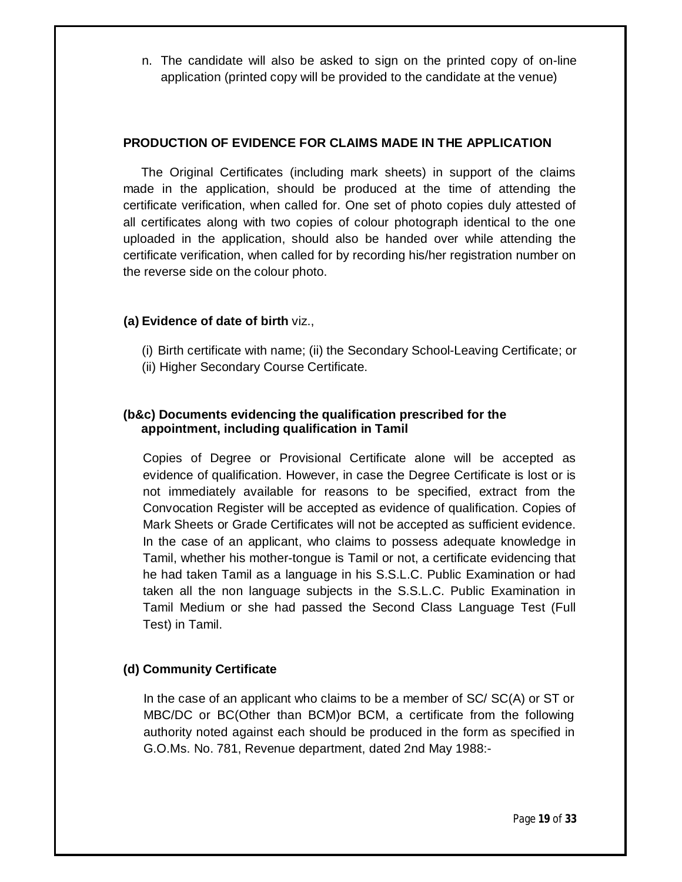n. The candidate will also be asked to sign on the printed copy of on-line application (printed copy will be provided to the candidate at the venue)

### **PRODUCTION OF EVIDENCE FOR CLAIMS MADE IN THE APPLICATION**

The Original Certificates (including mark sheets) in support of the claims made in the application, should be produced at the time of attending the certificate verification, when called for. One set of photo copies duly attested of all certificates along with two copies of colour photograph identical to the one uploaded in the application, should also be handed over while attending the certificate verification, when called for by recording his/her registration number on the reverse side on the colour photo.

#### **(a) Evidence of date of birth** viz.,

- (i) Birth certificate with name; (ii) the Secondary School-Leaving Certificate; or
- (ii) Higher Secondary Course Certificate.

# **(b&c) Documents evidencing the qualification prescribed for the appointment, including qualification in Tamil**

Copies of Degree or Provisional Certificate alone will be accepted as evidence of qualification. However, in case the Degree Certificate is lost or is not immediately available for reasons to be specified, extract from the Convocation Register will be accepted as evidence of qualification. Copies of Mark Sheets or Grade Certificates will not be accepted as sufficient evidence. In the case of an applicant, who claims to possess adequate knowledge in Tamil, whether his mother-tongue is Tamil or not, a certificate evidencing that he had taken Tamil as a language in his S.S.L.C. Public Examination or had taken all the non language subjects in the S.S.L.C. Public Examination in Tamil Medium or she had passed the Second Class Language Test (Full Test) in Tamil.

# **(d) Community Certificate**

In the case of an applicant who claims to be a member of SC/ SC(A) or ST or MBC/DC or BC(Other than BCM)or BCM, a certificate from the following authority noted against each should be produced in the form as specified in G.O.Ms. No. 781, Revenue department, dated 2nd May 1988:-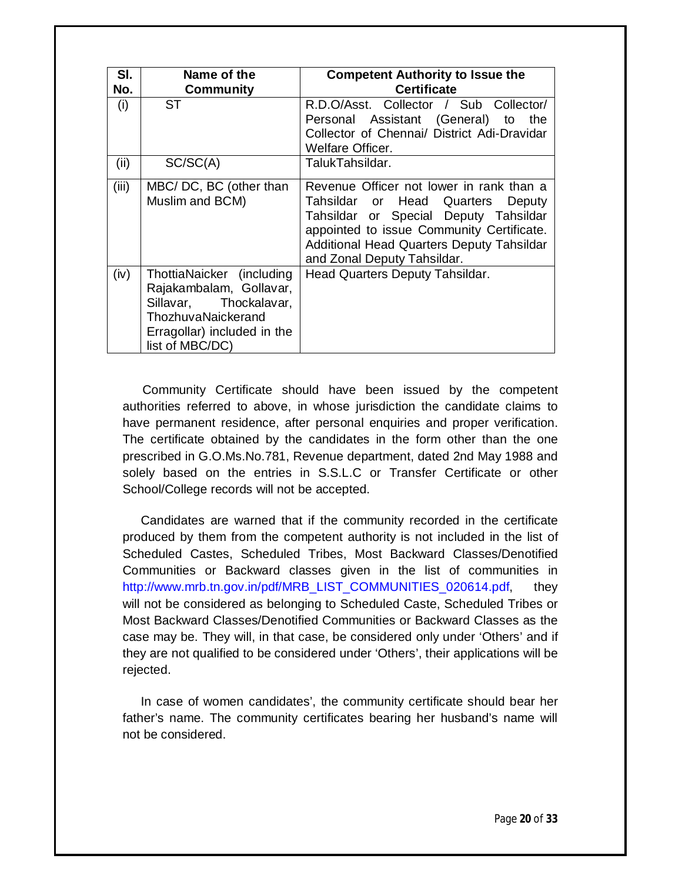| SI.<br>No. | Name of the                                                                                                                                            | <b>Competent Authority to Issue the</b><br><b>Certificate</b>                                                                                                                                                                                      |
|------------|--------------------------------------------------------------------------------------------------------------------------------------------------------|----------------------------------------------------------------------------------------------------------------------------------------------------------------------------------------------------------------------------------------------------|
| (i)        | Community<br>ST                                                                                                                                        | R.D.O/Asst. Collector / Sub Collector/                                                                                                                                                                                                             |
|            |                                                                                                                                                        | Personal Assistant (General) to the<br>Collector of Chennai/ District Adi-Dravidar<br>Welfare Officer.                                                                                                                                             |
| (ii)       | SC/SC(A)                                                                                                                                               | TalukTahsildar.                                                                                                                                                                                                                                    |
| (iii)      | MBC/DC, BC (other than<br>Muslim and BCM)                                                                                                              | Revenue Officer not lower in rank than a<br>Tahsildar or Head Quarters<br>Deputy<br>Tahsildar or Special Deputy Tahsildar<br>appointed to issue Community Certificate.<br>Additional Head Quarters Deputy Tahsildar<br>and Zonal Deputy Tahsildar. |
| (iv)       | ThottiaNaicker (including<br>Rajakambalam, Gollavar,<br>Sillavar, Thockalavar,<br>ThozhuvaNaickerand<br>Erragollar) included in the<br>list of MBC/DC) | Head Quarters Deputy Tahsildar.                                                                                                                                                                                                                    |

Community Certificate should have been issued by the competent authorities referred to above, in whose jurisdiction the candidate claims to have permanent residence, after personal enquiries and proper verification. The certificate obtained by the candidates in the form other than the one prescribed in G.O.Ms.No.781, Revenue department, dated 2nd May 1988 and solely based on the entries in S.S.L.C or Transfer Certificate or other School/College records will not be accepted.

Candidates are warned that if the community recorded in the certificate produced by them from the competent authority is not included in the list of Scheduled Castes, Scheduled Tribes, Most Backward Classes/Denotified Communities or Backward classes given in the list of communities in http://www.mrb.tn.gov.in/pdf/MRB\_LIST\_COMMUNITIES\_020614.pdf, they will not be considered as belonging to Scheduled Caste, Scheduled Tribes or Most Backward Classes/Denotified Communities or Backward Classes as the case may be. They will, in that case, be considered only under 'Others' and if they are not qualified to be considered under 'Others', their applications will be rejected.

In case of women candidates', the community certificate should bear her father's name. The community certificates bearing her husband's name will not be considered.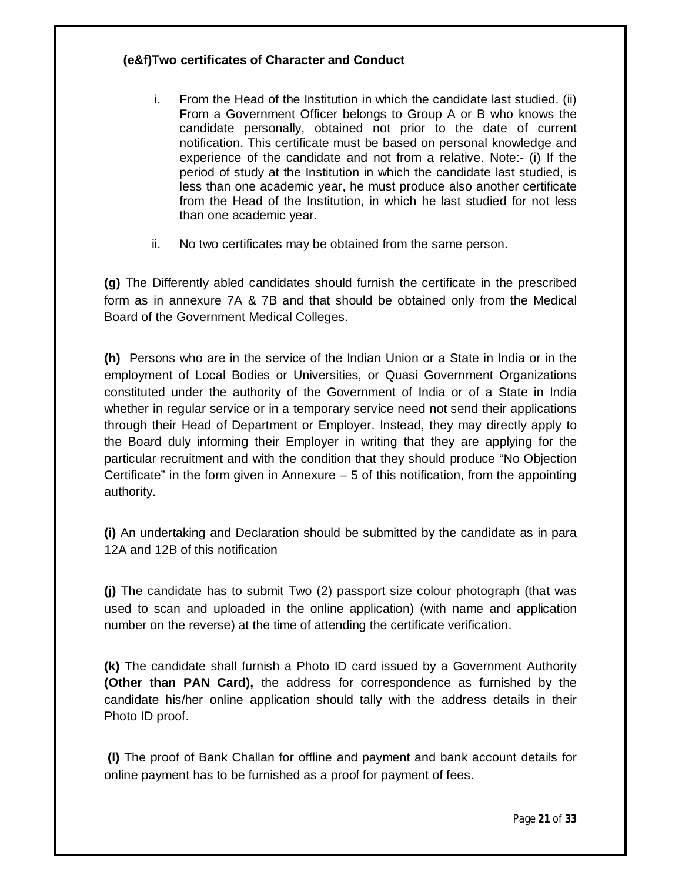# **(e&f)Two certificates of Character and Conduct**

- i. From the Head of the Institution in which the candidate last studied. (ii) From a Government Officer belongs to Group A or B who knows the candidate personally, obtained not prior to the date of current notification. This certificate must be based on personal knowledge and experience of the candidate and not from a relative. Note:- (i) If the period of study at the Institution in which the candidate last studied, is less than one academic year, he must produce also another certificate from the Head of the Institution, in which he last studied for not less than one academic year.
- ii. No two certificates may be obtained from the same person.

**(g)** The Differently abled candidates should furnish the certificate in the prescribed form as in annexure 7A & 7B and that should be obtained only from the Medical Board of the Government Medical Colleges.

**(h)** Persons who are in the service of the Indian Union or a State in India or in the employment of Local Bodies or Universities, or Quasi Government Organizations constituted under the authority of the Government of India or of a State in India whether in regular service or in a temporary service need not send their applications through their Head of Department or Employer. Instead, they may directly apply to the Board duly informing their Employer in writing that they are applying for the particular recruitment and with the condition that they should produce "No Objection Certificate" in the form given in Annexure  $-5$  of this notification, from the appointing authority.

**(i)** An undertaking and Declaration should be submitted by the candidate as in para 12A and 12B of this notification

**(j)** The candidate has to submit Two (2) passport size colour photograph (that was used to scan and uploaded in the online application) (with name and application number on the reverse) at the time of attending the certificate verification.

**(k)** The candidate shall furnish a Photo ID card issued by a Government Authority **(Other than PAN Card),** the address for correspondence as furnished by the candidate his/her online application should tally with the address details in their Photo ID proof.

**(l)** The proof of Bank Challan for offline and payment and bank account details for online payment has to be furnished as a proof for payment of fees.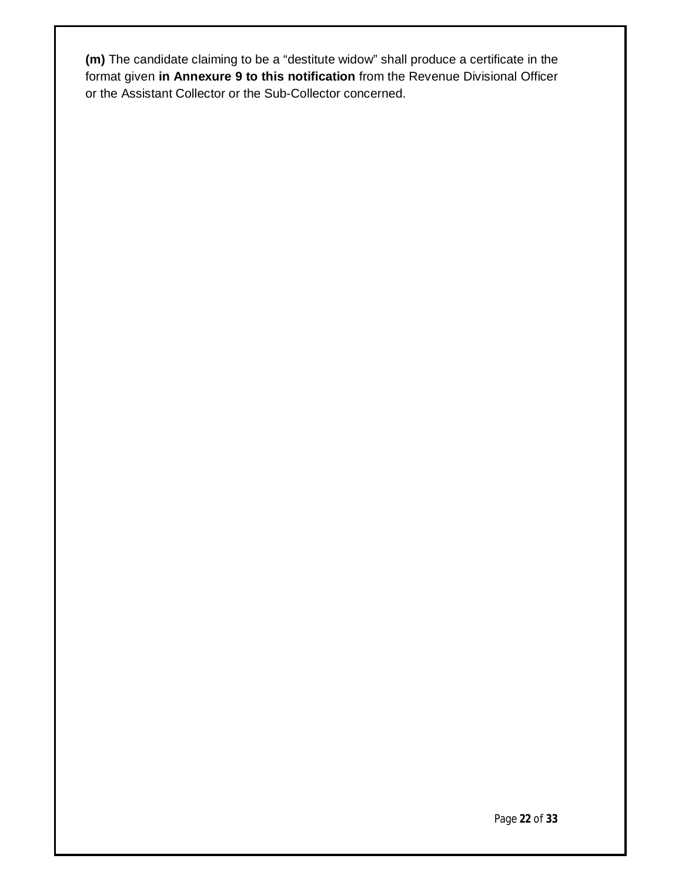**(m)** The candidate claiming to be a "destitute widow" shall produce a certificate in the format given **in Annexure 9 to this notification** from the Revenue Divisional Officer or the Assistant Collector or the Sub-Collector concerned.

Page **22** of **33**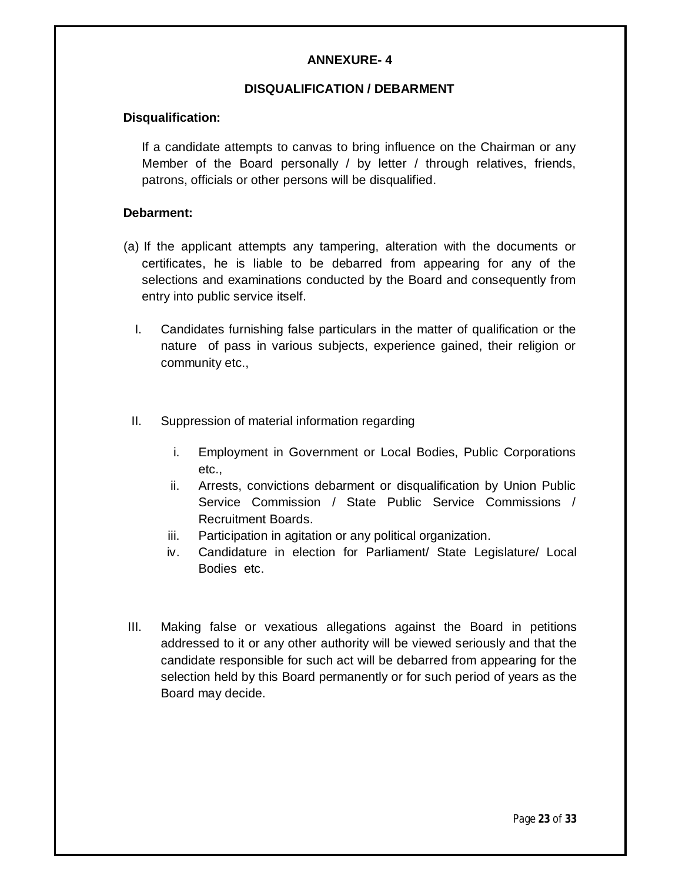# **ANNEXURE- 4**

#### **DISQUALIFICATION / DEBARMENT**

#### **Disqualification:**

If a candidate attempts to canvas to bring influence on the Chairman or any Member of the Board personally / by letter / through relatives, friends, patrons, officials or other persons will be disqualified.

#### **Debarment:**

- (a) If the applicant attempts any tampering, alteration with the documents or certificates, he is liable to be debarred from appearing for any of the selections and examinations conducted by the Board and consequently from entry into public service itself.
	- I. Candidates furnishing false particulars in the matter of qualification or the nature of pass in various subjects, experience gained, their religion or community etc.,
	- II. Suppression of material information regarding
		- i. Employment in Government or Local Bodies, Public Corporations etc.,
		- ii. Arrests, convictions debarment or disqualification by Union Public Service Commission / State Public Service Commissions / Recruitment Boards.
		- iii. Participation in agitation or any political organization.
		- iv. Candidature in election for Parliament/ State Legislature/ Local Bodies etc.
- III. Making false or vexatious allegations against the Board in petitions addressed to it or any other authority will be viewed seriously and that the candidate responsible for such act will be debarred from appearing for the selection held by this Board permanently or for such period of years as the Board may decide.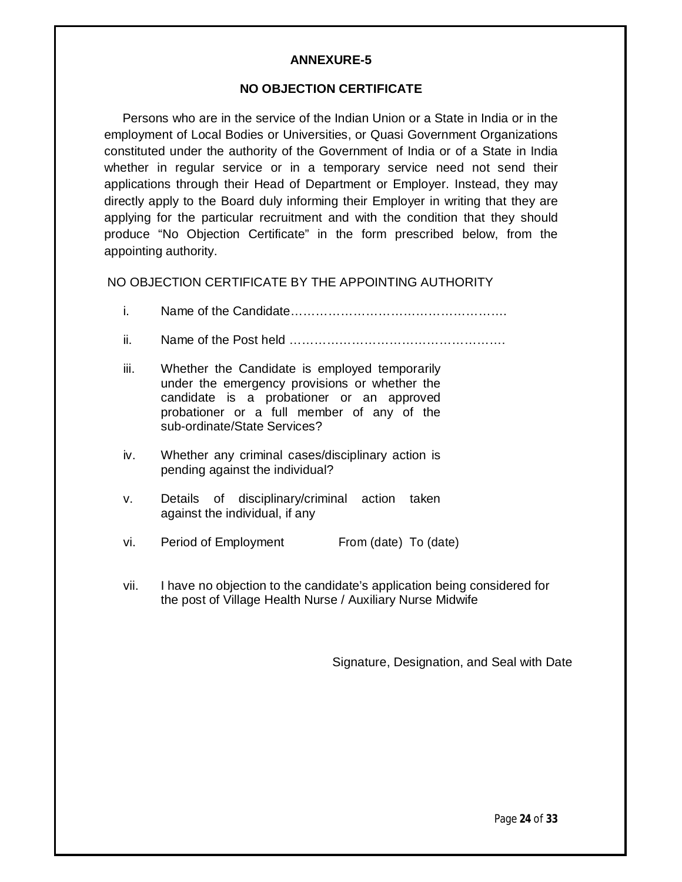#### **ANNEXURE-5**

#### **NO OBJECTION CERTIFICATE**

Persons who are in the service of the Indian Union or a State in India or in the employment of Local Bodies or Universities, or Quasi Government Organizations constituted under the authority of the Government of India or of a State in India whether in regular service or in a temporary service need not send their applications through their Head of Department or Employer. Instead, they may directly apply to the Board duly informing their Employer in writing that they are applying for the particular recruitment and with the condition that they should produce "No Objection Certificate" in the form prescribed below, from the appointing authority.

NO OBJECTION CERTIFICATE BY THE APPOINTING AUTHORITY

- i. Name of the Candidate…………………………………………….
- ii. Name of the Post held …………………………………………….
- iii. Whether the Candidate is employed temporarily under the emergency provisions or whether the candidate is a probationer or an approved probationer or a full member of any of the sub-ordinate/State Services?
- iv. Whether any criminal cases/disciplinary action is pending against the individual?
- v. Details of disciplinary/criminal action taken against the individual, if any
- vi. Period of Employment From (date) To (date)
- vii. I have no objection to the candidate's application being considered for the post of Village Health Nurse / Auxiliary Nurse Midwife

Signature, Designation, and Seal with Date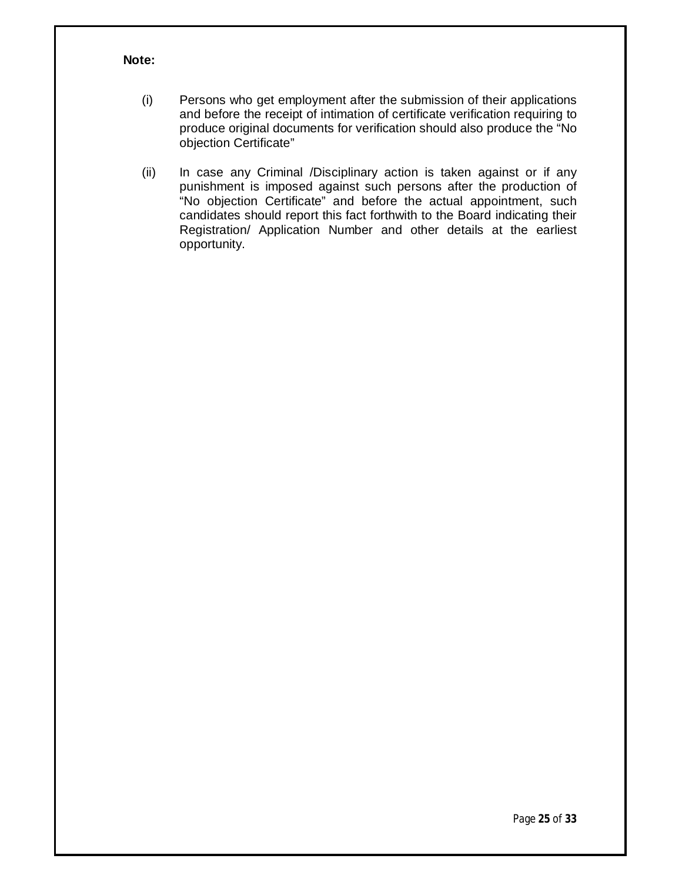#### **Note:**

- (i) Persons who get employment after the submission of their applications and before the receipt of intimation of certificate verification requiring to produce original documents for verification should also produce the "No objection Certificate"
- (ii) In case any Criminal /Disciplinary action is taken against or if any punishment is imposed against such persons after the production of "No objection Certificate" and before the actual appointment, such candidates should report this fact forthwith to the Board indicating their Registration/ Application Number and other details at the earliest opportunity.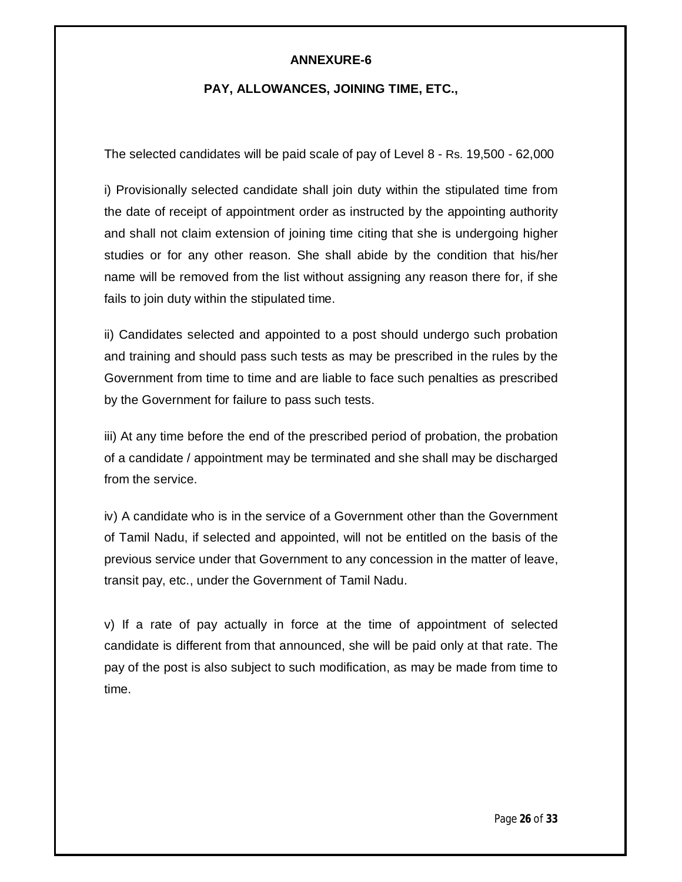#### **ANNEXURE-6**

#### **PAY, ALLOWANCES, JOINING TIME, ETC.,**

The selected candidates will be paid scale of pay of Level 8 - Rs. 19,500 - 62,000

i) Provisionally selected candidate shall join duty within the stipulated time from the date of receipt of appointment order as instructed by the appointing authority and shall not claim extension of joining time citing that she is undergoing higher studies or for any other reason. She shall abide by the condition that his/her name will be removed from the list without assigning any reason there for, if she fails to join duty within the stipulated time.

ii) Candidates selected and appointed to a post should undergo such probation and training and should pass such tests as may be prescribed in the rules by the Government from time to time and are liable to face such penalties as prescribed by the Government for failure to pass such tests.

iii) At any time before the end of the prescribed period of probation, the probation of a candidate / appointment may be terminated and she shall may be discharged from the service.

iv) A candidate who is in the service of a Government other than the Government of Tamil Nadu, if selected and appointed, will not be entitled on the basis of the previous service under that Government to any concession in the matter of leave, transit pay, etc., under the Government of Tamil Nadu.

v) If a rate of pay actually in force at the time of appointment of selected candidate is different from that announced, she will be paid only at that rate. The pay of the post is also subject to such modification, as may be made from time to time.

Page **26** of **33**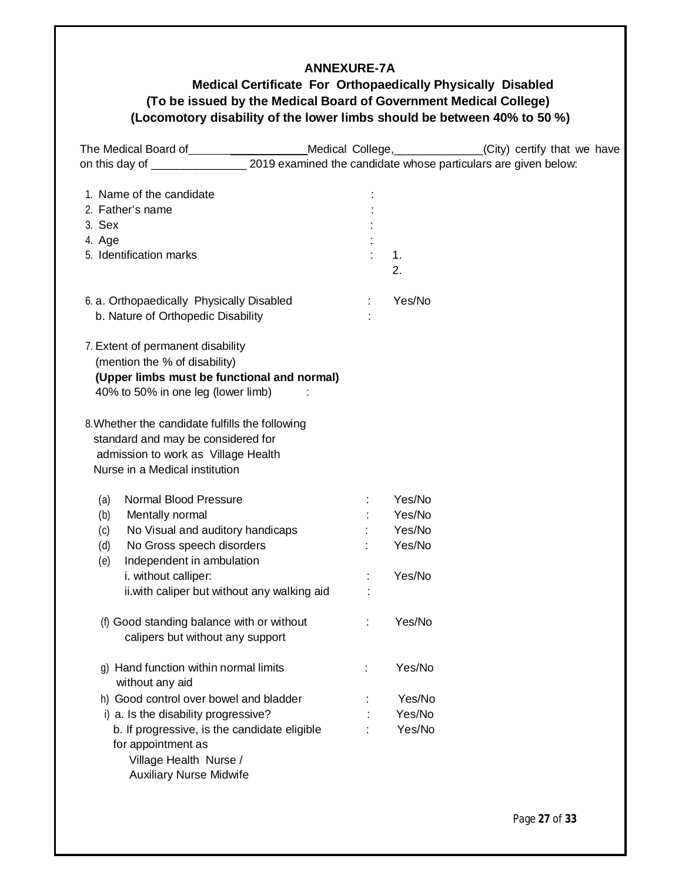#### **ANNEXURE-7A**

# **Medical Certificate For Orthopaedically Physically Disabled (To be issued by the Medical Board of Government Medical College) (Locomotory disability of the lower limbs should be between 40% to 50 %)**

|                                                                                                                                                                                                   |   |        | Medical College, _____________(City) certify that we have |
|---------------------------------------------------------------------------------------------------------------------------------------------------------------------------------------------------|---|--------|-----------------------------------------------------------|
| The Medical Board of ____________________Medical College, ____________(City) certify that v<br>on this day of _____________________2019 examined the candidate whose particulars are given below: |   |        |                                                           |
|                                                                                                                                                                                                   |   |        |                                                           |
| 1. Name of the candidate                                                                                                                                                                          |   |        |                                                           |
| 2. Father's name                                                                                                                                                                                  |   |        |                                                           |
| 3. Sex                                                                                                                                                                                            |   |        |                                                           |
| 4. Age                                                                                                                                                                                            |   |        |                                                           |
| 5. Identification marks                                                                                                                                                                           |   | 1.     |                                                           |
|                                                                                                                                                                                                   |   | 2.     |                                                           |
| 6. a. Orthopaedically Physically Disabled                                                                                                                                                         |   | Yes/No |                                                           |
| b. Nature of Orthopedic Disability                                                                                                                                                                |   |        |                                                           |
| 7. Extent of permanent disability                                                                                                                                                                 |   |        |                                                           |
| (mention the % of disability)                                                                                                                                                                     |   |        |                                                           |
| (Upper limbs must be functional and normal)                                                                                                                                                       |   |        |                                                           |
| 40% to 50% in one leg (lower limb)                                                                                                                                                                |   |        |                                                           |
| 8. Whether the candidate fulfills the following                                                                                                                                                   |   |        |                                                           |
| standard and may be considered for                                                                                                                                                                |   |        |                                                           |
| admission to work as Village Health                                                                                                                                                               |   |        |                                                           |
| Nurse in a Medical institution                                                                                                                                                                    |   |        |                                                           |
|                                                                                                                                                                                                   |   |        |                                                           |
| Normal Blood Pressure<br>(a)                                                                                                                                                                      |   | Yes/No |                                                           |
| (b)<br>Mentally normal                                                                                                                                                                            |   | Yes/No |                                                           |
| No Visual and auditory handicaps<br>(c)                                                                                                                                                           |   | Yes/No |                                                           |
| No Gross speech disorders<br>(d)                                                                                                                                                                  |   | Yes/No |                                                           |
| Independent in ambulation<br>(e)                                                                                                                                                                  |   |        |                                                           |
| i. without calliper:                                                                                                                                                                              |   | Yes/No |                                                           |
| ii. with caliper but without any walking aid                                                                                                                                                      |   |        |                                                           |
| (f) Good standing balance with or without                                                                                                                                                         | ÷ | Yes/No |                                                           |
| calipers but without any support                                                                                                                                                                  |   |        |                                                           |
|                                                                                                                                                                                                   |   |        |                                                           |
| g) Hand function within normal limits<br>without any aid                                                                                                                                          | ÷ | Yes/No |                                                           |
| h) Good control over bowel and bladder                                                                                                                                                            |   | Yes/No |                                                           |
| i) a. Is the disability progressive?                                                                                                                                                              |   | Yes/No |                                                           |
| b. If progressive, is the candidate eligible                                                                                                                                                      |   | Yes/No |                                                           |
| for appointment as                                                                                                                                                                                |   |        |                                                           |
| Village Health Nurse /                                                                                                                                                                            |   |        |                                                           |
| <b>Auxiliary Nurse Midwife</b>                                                                                                                                                                    |   |        |                                                           |
|                                                                                                                                                                                                   |   |        |                                                           |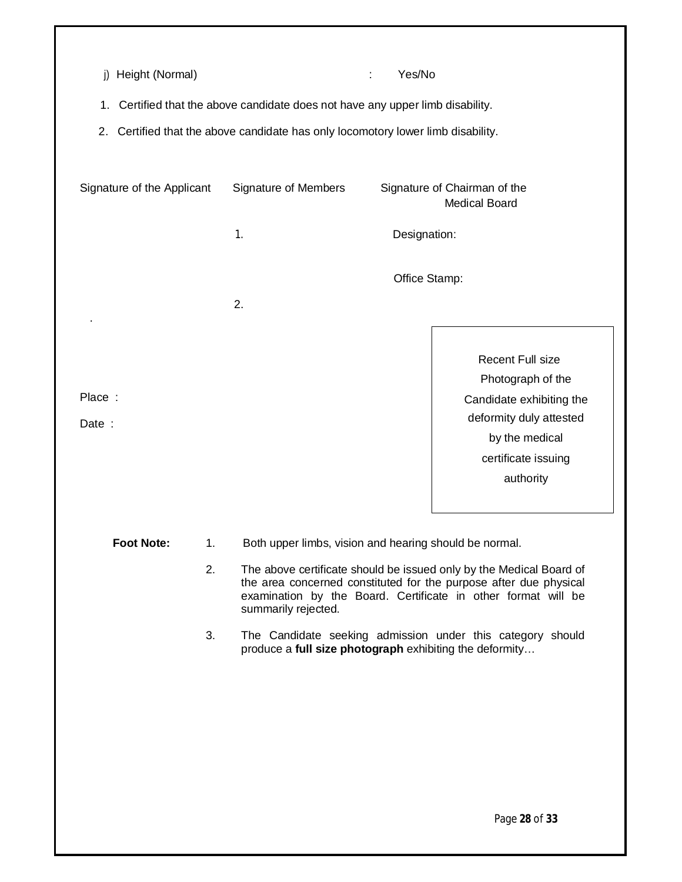| Height (Normal)<br>i)      | 1. Certified that the above candidate does not have any upper limb disability.<br>2. Certified that the above candidate has only locomotory lower limb disability. | Yes/No                       |                                                                                                                                                           |
|----------------------------|--------------------------------------------------------------------------------------------------------------------------------------------------------------------|------------------------------|-----------------------------------------------------------------------------------------------------------------------------------------------------------|
| Signature of the Applicant | <b>Signature of Members</b>                                                                                                                                        | Signature of Chairman of the | <b>Medical Board</b>                                                                                                                                      |
|                            | 1.                                                                                                                                                                 | Designation:                 |                                                                                                                                                           |
|                            |                                                                                                                                                                    | Office Stamp:                |                                                                                                                                                           |
|                            | 2.                                                                                                                                                                 |                              |                                                                                                                                                           |
| Place:<br>Date:            |                                                                                                                                                                    |                              | <b>Recent Full size</b><br>Photograph of the<br>Candidate exhibiting the<br>deformity duly attested<br>by the medical<br>certificate issuing<br>authority |
|                            |                                                                                                                                                                    |                              |                                                                                                                                                           |

Foot Note: 1. Both upper limbs, vision and hearing should be normal.

- 2. The above certificate should be issued only by the Medical Board of the area concerned constituted for the purpose after due physical examination by the Board. Certificate in other format will be summarily rejected.
- 3. The Candidate seeking admission under this category should produce a **full size photograph** exhibiting the deformity…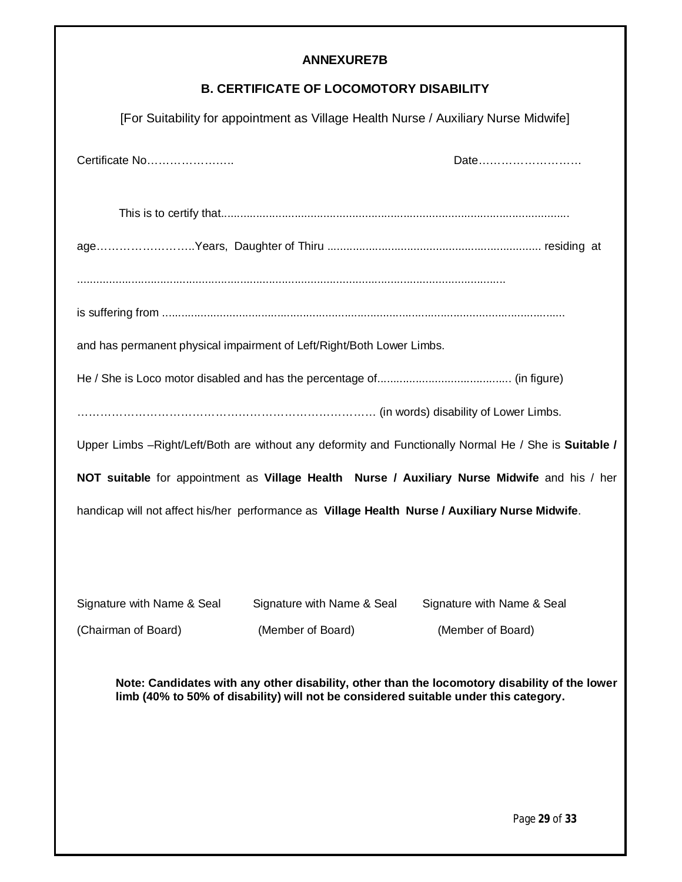# **ANNEXURE7B**

# **B. CERTIFICATE OF LOCOMOTORY DISABILITY**

| [For Suitability for appointment as Village Health Nurse / Auxiliary Nurse Midwife]                                                                                                   |                   |                                                                                                       |  |  |
|---------------------------------------------------------------------------------------------------------------------------------------------------------------------------------------|-------------------|-------------------------------------------------------------------------------------------------------|--|--|
| Certificate No                                                                                                                                                                        |                   | Date                                                                                                  |  |  |
|                                                                                                                                                                                       |                   |                                                                                                       |  |  |
|                                                                                                                                                                                       |                   |                                                                                                       |  |  |
|                                                                                                                                                                                       |                   |                                                                                                       |  |  |
|                                                                                                                                                                                       |                   |                                                                                                       |  |  |
| and has permanent physical impairment of Left/Right/Both Lower Limbs.                                                                                                                 |                   |                                                                                                       |  |  |
|                                                                                                                                                                                       |                   |                                                                                                       |  |  |
|                                                                                                                                                                                       |                   |                                                                                                       |  |  |
|                                                                                                                                                                                       |                   | Upper Limbs -Right/Left/Both are without any deformity and Functionally Normal He / She is Suitable / |  |  |
|                                                                                                                                                                                       |                   | NOT suitable for appointment as Village Health Nurse / Auxiliary Nurse Midwife and his / her          |  |  |
| handicap will not affect his/her performance as Village Health Nurse / Auxiliary Nurse Midwife.                                                                                       |                   |                                                                                                       |  |  |
|                                                                                                                                                                                       |                   |                                                                                                       |  |  |
|                                                                                                                                                                                       |                   |                                                                                                       |  |  |
| Signature with Name & Seal Signature with Name & Seal Signature with Name & Seal                                                                                                      |                   |                                                                                                       |  |  |
| (Chairman of Board)                                                                                                                                                                   | (Member of Board) | (Member of Board)                                                                                     |  |  |
| Note: Candidates with any other disability, other than the locomotory disability of the lower<br>limb (40% to 50% of disability) will not be considered suitable under this category. |                   |                                                                                                       |  |  |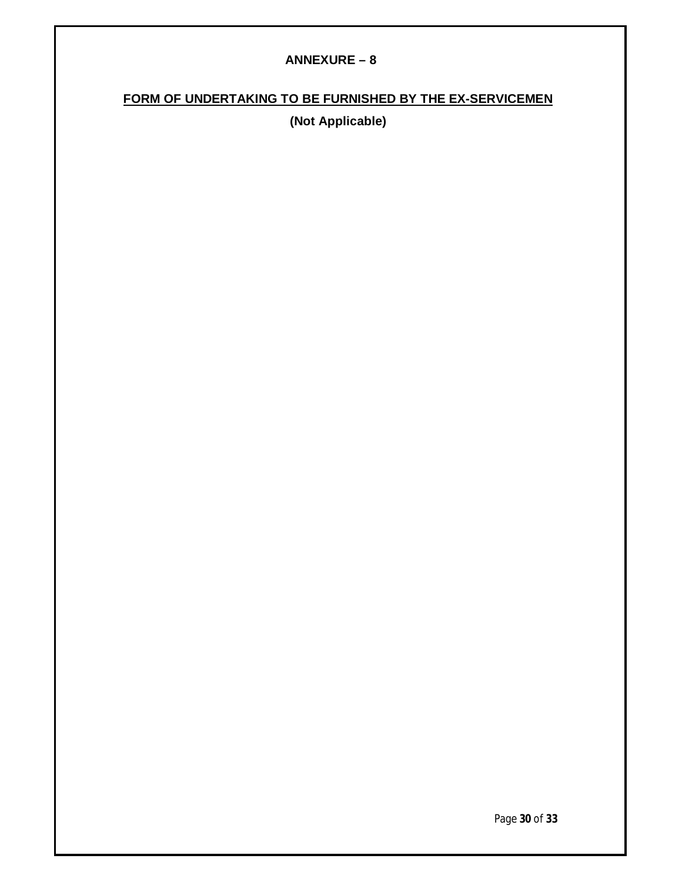#### **ANNEXURE – 8**

# **FORM OF UNDERTAKING TO BE FURNISHED BY THE EX-SERVICEMEN**

**(Not Applicable)**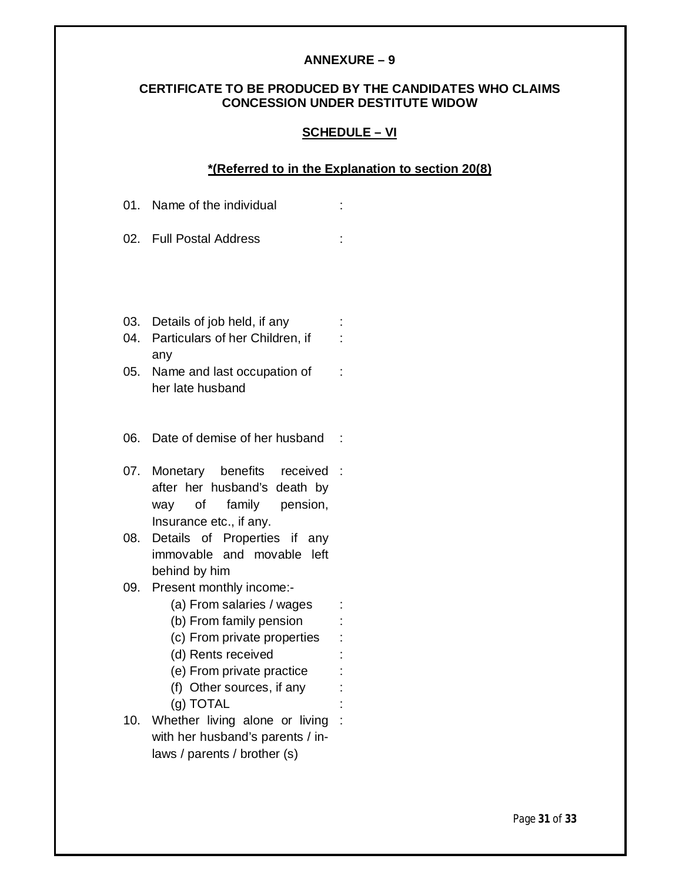#### **ANNEXURE – 9**

### **CERTIFICATE TO BE PRODUCED BY THE CANDIDATES WHO CLAIMS CONCESSION UNDER DESTITUTE WIDOW**

#### **SCHEDULE – VI**

#### **\*(Referred to in the Explanation to section 20(8)**

|            | 01. Name of the individual                                                                                                                                                                                                                     |        |  |
|------------|------------------------------------------------------------------------------------------------------------------------------------------------------------------------------------------------------------------------------------------------|--------|--|
|            | 02. Full Postal Address                                                                                                                                                                                                                        |        |  |
|            |                                                                                                                                                                                                                                                |        |  |
| 04.        | 03. Details of job held, if any<br>Particulars of her Children, if<br>any                                                                                                                                                                      | İ,     |  |
| 05.        | Name and last occupation of<br>her late husband                                                                                                                                                                                                |        |  |
| 06.        | Date of demise of her husband                                                                                                                                                                                                                  |        |  |
| 07.        | Monetary benefits received<br>after her husband's death by<br>way of family pension,<br>Insurance etc., if any.                                                                                                                                | $\sim$ |  |
| 08.        | Details of Properties if any<br>immovable and movable left<br>behind by him                                                                                                                                                                    |        |  |
| 09.<br>10. | Present monthly income:-<br>(a) From salaries / wages<br>(b) From family pension<br>(c) From private properties<br>(d) Rents received<br>(e) From private practice<br>(f) Other sources, if any<br>(g) TOTAL<br>Whether living alone or living |        |  |
|            | with her husband's parents / in-<br>laws / parents / brother (s)                                                                                                                                                                               |        |  |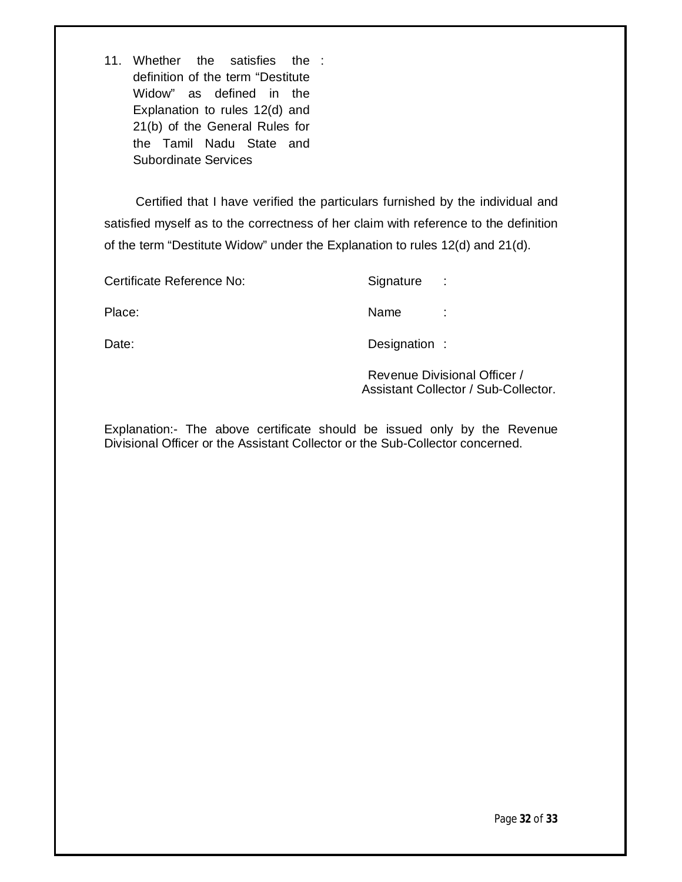11. Whether the satisfies the : definition of the term "Destitute Widow" as defined in the Explanation to rules 12(d) and 21(b) of the General Rules for the Tamil Nadu State and Subordinate Services

 Certified that I have verified the particulars furnished by the individual and satisfied myself as to the correctness of her claim with reference to the definition of the term "Destitute Widow" under the Explanation to rules 12(d) and 21(d).

| Certificate Reference No: | Signature     | $\sim$ 100 $\pm$ |
|---------------------------|---------------|------------------|
| Place:                    | Name          |                  |
| Date:                     | Designation : |                  |

Revenue Divisional Officer / Assistant Collector / Sub-Collector.

Explanation:- The above certificate should be issued only by the Revenue Divisional Officer or the Assistant Collector or the Sub-Collector concerned.